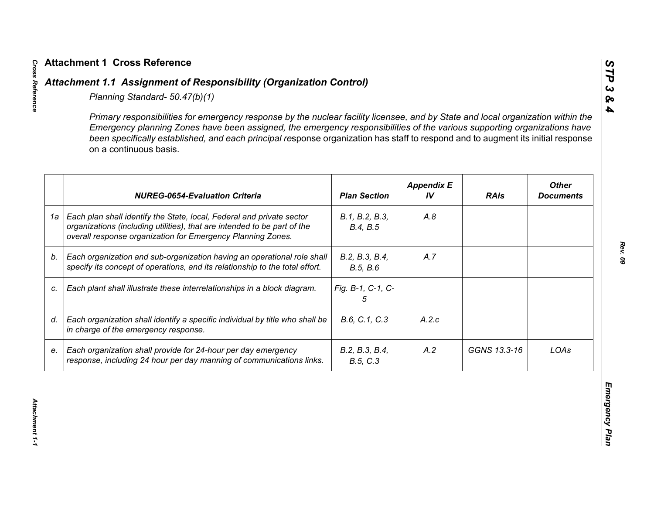|    | Primary responsibilities for emergency response by the nuclear facility licensee, and by State and local organization within the<br>Emergency planning Zones have been assigned, the emergency responsibilities of the various supporting organizations have<br>been specifically established, and each principal response organization has staff to respond and to augment its initial response<br>on a continuous basis. |                            |                         |              |                                  |
|----|----------------------------------------------------------------------------------------------------------------------------------------------------------------------------------------------------------------------------------------------------------------------------------------------------------------------------------------------------------------------------------------------------------------------------|----------------------------|-------------------------|--------------|----------------------------------|
|    | <b>NUREG-0654-Evaluation Criteria</b>                                                                                                                                                                                                                                                                                                                                                                                      | <b>Plan Section</b>        | <b>Appendix E</b><br>IV | <b>RAIs</b>  | <b>Other</b><br><b>Documents</b> |
| 1a | Each plan shall identify the State, local, Federal and private sector<br>organizations (including utilities), that are intended to be part of the<br>overall response organization for Emergency Planning Zones.                                                                                                                                                                                                           | B.1, B.2, B.3,<br>B.4, B.5 | A.8                     |              |                                  |
| b. | Each organization and sub-organization having an operational role shall<br>specify its concept of operations, and its relationship to the total effort.                                                                                                                                                                                                                                                                    | B.2, B.3, B.4,<br>B.5, B.6 | A.7                     |              |                                  |
| C. | Each plant shall illustrate these interrelationships in a block diagram.                                                                                                                                                                                                                                                                                                                                                   | Fig. B-1, C-1, C-<br>5     |                         |              |                                  |
| d. | Each organization shall identify a specific individual by title who shall be<br>in charge of the emergency response.                                                                                                                                                                                                                                                                                                       | B.6, C.1, C.3              | A.2.c                   |              |                                  |
| е. | Each organization shall provide for 24-hour per day emergency<br>response, including 24 hour per day manning of communications links.                                                                                                                                                                                                                                                                                      | B.2, B.3, B.4,<br>B.5, C.3 | A.2                     | GGNS 13.3-16 | LOAs                             |

*STP 3 & 4*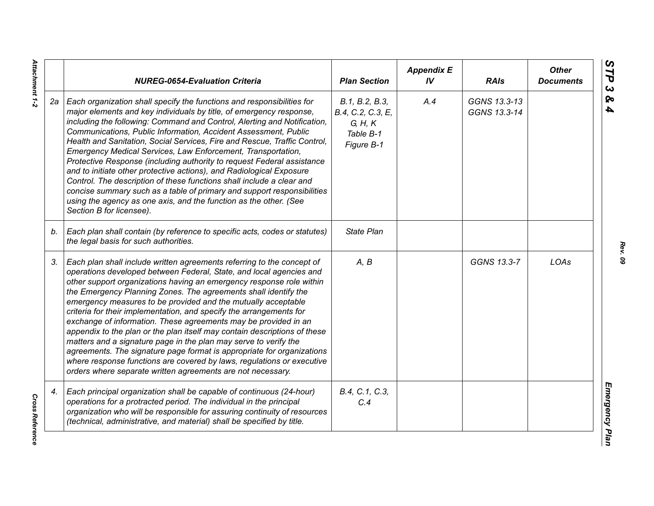|    | <b>NUREG-0654-Evaluation Criteria</b>                                                                                                                                                                                                                                                                                                                                                                                                                                                                                                                                                                                                                                                                                                                                                                                                                                   | <b>Plan Section</b>                                                       | <b>Appendix E</b><br>IV | <b>RAIs</b>                  | <b>Other</b><br><b>Documents</b> |
|----|-------------------------------------------------------------------------------------------------------------------------------------------------------------------------------------------------------------------------------------------------------------------------------------------------------------------------------------------------------------------------------------------------------------------------------------------------------------------------------------------------------------------------------------------------------------------------------------------------------------------------------------------------------------------------------------------------------------------------------------------------------------------------------------------------------------------------------------------------------------------------|---------------------------------------------------------------------------|-------------------------|------------------------------|----------------------------------|
| 2а | Each organization shall specify the functions and responsibilities for<br>major elements and key individuals by title, of emergency response,<br>including the following: Command and Control, Alerting and Notification,<br>Communications, Public Information, Accident Assessment, Public<br>Health and Sanitation, Social Services, Fire and Rescue, Traffic Control,<br>Emergency Medical Services, Law Enforcement, Transportation,<br>Protective Response (including authority to request Federal assistance<br>and to initiate other protective actions), and Radiological Exposure<br>Control. The description of these functions shall include a clear and<br>concise summary such as a table of primary and support responsibilities<br>using the agency as one axis, and the function as the other. (See<br>Section B for licensee).                        | B.1, B.2, B.3,<br>B.4, C.2, C.3, E,<br>G, H, K<br>Table B-1<br>Figure B-1 | A.4                     | GGNS 13.3-13<br>GGNS 13.3-14 |                                  |
| b. | Each plan shall contain (by reference to specific acts, codes or statutes)<br>the legal basis for such authorities.                                                                                                                                                                                                                                                                                                                                                                                                                                                                                                                                                                                                                                                                                                                                                     | <b>State Plan</b>                                                         |                         |                              |                                  |
| 3. | Each plan shall include written agreements referring to the concept of<br>operations developed between Federal, State, and local agencies and<br>other support organizations having an emergency response role within<br>the Emergency Planning Zones. The agreements shall identify the<br>emergency measures to be provided and the mutually acceptable<br>criteria for their implementation, and specify the arrangements for<br>exchange of information. These agreements may be provided in an<br>appendix to the plan or the plan itself may contain descriptions of these<br>matters and a signature page in the plan may serve to verify the<br>agreements. The signature page format is appropriate for organizations<br>where response functions are covered by laws, regulations or executive<br>orders where separate written agreements are not necessary. | A, B                                                                      |                         | GGNS 13.3-7                  | LOAs                             |
| 4. | Each principal organization shall be capable of continuous (24-hour)<br>operations for a protracted period. The individual in the principal<br>organization who will be responsible for assuring continuity of resources<br>(technical, administrative, and material) shall be specified by title.                                                                                                                                                                                                                                                                                                                                                                                                                                                                                                                                                                      | B.4, C.1, C.3,<br>C.4                                                     |                         |                              |                                  |

*Rev. 09*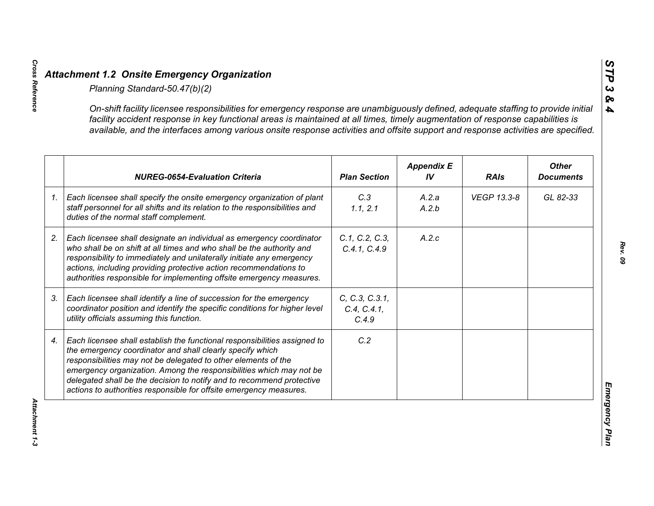|    | On-shift facility licensee responsibilities for emergency response are unambiguously defined, adequate staffing to provide initial<br>facility accident response in key functional areas is maintained at all times, timely augmentation of response capabilities is<br>available, and the interfaces among various onsite response activities and offsite support and response activities are specified.                      |                                        |                         |             |                                  |
|----|--------------------------------------------------------------------------------------------------------------------------------------------------------------------------------------------------------------------------------------------------------------------------------------------------------------------------------------------------------------------------------------------------------------------------------|----------------------------------------|-------------------------|-------------|----------------------------------|
|    | <b>NUREG-0654-Evaluation Criteria</b>                                                                                                                                                                                                                                                                                                                                                                                          | <b>Plan Section</b>                    | <b>Appendix E</b><br>IV | <b>RAIs</b> | <b>Other</b><br><b>Documents</b> |
| 1. | Each licensee shall specify the onsite emergency organization of plant<br>staff personnel for all shifts and its relation to the responsibilities and<br>duties of the normal staff complement.                                                                                                                                                                                                                                | C.3<br>1.1, 2.1                        | A.2.a<br>A.2.b          | VEGP 13.3-8 | GL 82-33                         |
|    | Each licensee shall designate an individual as emergency coordinator<br>who shall be on shift at all times and who shall be the authority and<br>responsibility to immediately and unilaterally initiate any emergency<br>actions, including providing protective action recommendations to<br>authorities responsible for implementing offsite emergency measures.                                                            | C.1, C.2, C.3,<br>C.4.1, C.4.9         | A.2.c                   |             |                                  |
|    | Each licensee shall identify a line of succession for the emergency<br>coordinator position and identify the specific conditions for higher level<br>utility officials assuming this function.                                                                                                                                                                                                                                 | C, C.3, C.3.1,<br>C.4, C.4.1,<br>C.4.9 |                         |             |                                  |
|    | Each licensee shall establish the functional responsibilities assigned to<br>the emergency coordinator and shall clearly specify which<br>responsibilities may not be delegated to other elements of the<br>emergency organization. Among the responsibilities which may not be<br>delegated shall be the decision to notify and to recommend protective<br>actions to authorities responsible for offsite emergency measures. | C.2                                    |                         |             |                                  |

*STP 3 & 4*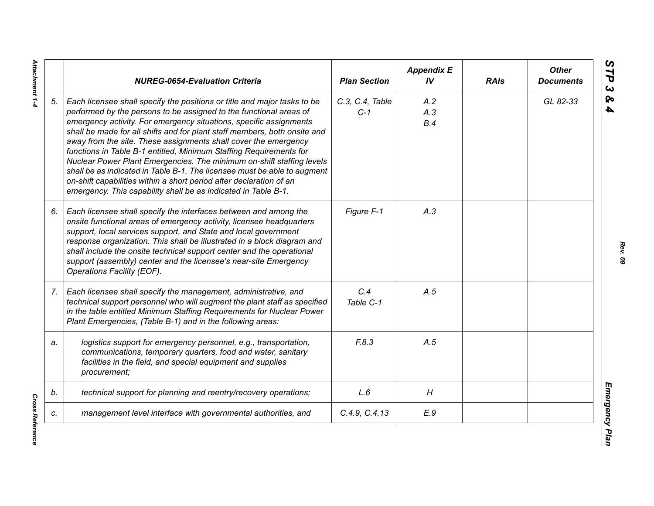|    | <b>NUREG-0654-Evaluation Criteria</b>                                                                                                                                                                                                                                                                                                                                                                                                                                                                                                                                                                                                                                                                                                    | <b>Plan Section</b>      | <b>Appendix E</b><br>IV | <b>RAIs</b> | <b>Other</b><br><b>Documents</b> |
|----|------------------------------------------------------------------------------------------------------------------------------------------------------------------------------------------------------------------------------------------------------------------------------------------------------------------------------------------------------------------------------------------------------------------------------------------------------------------------------------------------------------------------------------------------------------------------------------------------------------------------------------------------------------------------------------------------------------------------------------------|--------------------------|-------------------------|-------------|----------------------------------|
| 5. | Each licensee shall specify the positions or title and major tasks to be<br>performed by the persons to be assigned to the functional areas of<br>emergency activity. For emergency situations, specific assignments<br>shall be made for all shifts and for plant staff members, both onsite and<br>away from the site. These assignments shall cover the emergency<br>functions in Table B-1 entitled, Minimum Staffing Requirements for<br>Nuclear Power Plant Emergencies. The minimum on-shift staffing levels<br>shall be as indicated in Table B-1. The licensee must be able to augment<br>on-shift capabilities within a short period after declaration of an<br>emergency. This capability shall be as indicated in Table B-1. | C.3, C.4, Table<br>$C-1$ | A.2<br>A.3<br>B.4       |             | GL 82-33                         |
| 6. | Each licensee shall specify the interfaces between and among the<br>onsite functional areas of emergency activity, licensee headquarters<br>support, local services support, and State and local government<br>response organization. This shall be illustrated in a block diagram and<br>shall include the onsite technical support center and the operational<br>support (assembly) center and the licensee's near-site Emergency<br>Operations Facility (EOF).                                                                                                                                                                                                                                                                        | Figure F-1               | A.3                     |             |                                  |
| 7. | Each licensee shall specify the management, administrative, and<br>technical support personnel who will augment the plant staff as specified<br>in the table entitled Minimum Staffing Requirements for Nuclear Power<br>Plant Emergencies, (Table B-1) and in the following areas:                                                                                                                                                                                                                                                                                                                                                                                                                                                      | C.4<br>Table C-1         | A.5                     |             |                                  |
| a. | logistics support for emergency personnel, e.g., transportation,<br>communications, temporary quarters, food and water, sanitary<br>facilities in the field, and special equipment and supplies<br>procurement;                                                                                                                                                                                                                                                                                                                                                                                                                                                                                                                          | F.8.3                    | A.5                     |             |                                  |
| b. | technical support for planning and reentry/recovery operations;                                                                                                                                                                                                                                                                                                                                                                                                                                                                                                                                                                                                                                                                          | L.6                      | H                       |             |                                  |
| c. | management level interface with governmental authorities, and                                                                                                                                                                                                                                                                                                                                                                                                                                                                                                                                                                                                                                                                            | C.4.9, C.4.13            | E.9                     |             |                                  |

**Cross Reference** *Cross Reference*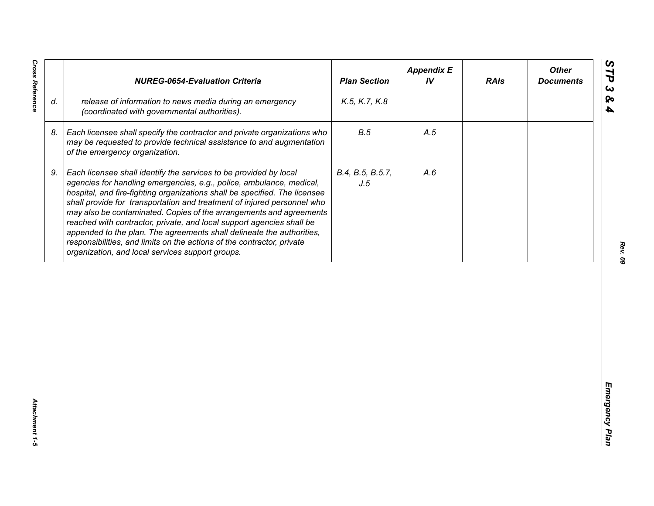| release of information to news media during an emergency<br>K.5, K.7, K.8<br>(coordinated with governmental authorities).<br>B.5<br>Each licensee shall specify the contractor and private organizations who<br>A.5<br>may be requested to provide technical assistance to and augmentation<br>of the emergency organization.<br>Each licensee shall identify the services to be provided by local<br>B.4, B.5, B.5.7,<br>A.6<br>agencies for handling emergencies, e.g., police, ambulance, medical,<br>J.5<br>hospital, and fire-fighting organizations shall be specified. The licensee<br>shall provide for transportation and treatment of injured personnel who<br>may also be contaminated. Copies of the arrangements and agreements<br>reached with contractor, private, and local support agencies shall be<br>appended to the plan. The agreements shall delineate the authorities, | d.<br>8.<br>9.<br>responsibilities, and limits on the actions of the contractor, private<br>organization, and local services support groups. |  | <b>NUREG-0654-Evaluation Criteria</b> | <b>Plan Section</b> | <b>Appendix E</b><br>IV | <b>RAIs</b> | <b>Other</b><br><b>Documents</b> |
|------------------------------------------------------------------------------------------------------------------------------------------------------------------------------------------------------------------------------------------------------------------------------------------------------------------------------------------------------------------------------------------------------------------------------------------------------------------------------------------------------------------------------------------------------------------------------------------------------------------------------------------------------------------------------------------------------------------------------------------------------------------------------------------------------------------------------------------------------------------------------------------------|----------------------------------------------------------------------------------------------------------------------------------------------|--|---------------------------------------|---------------------|-------------------------|-------------|----------------------------------|
|                                                                                                                                                                                                                                                                                                                                                                                                                                                                                                                                                                                                                                                                                                                                                                                                                                                                                                |                                                                                                                                              |  |                                       |                     |                         |             |                                  |
|                                                                                                                                                                                                                                                                                                                                                                                                                                                                                                                                                                                                                                                                                                                                                                                                                                                                                                |                                                                                                                                              |  |                                       |                     |                         |             |                                  |
|                                                                                                                                                                                                                                                                                                                                                                                                                                                                                                                                                                                                                                                                                                                                                                                                                                                                                                |                                                                                                                                              |  |                                       |                     |                         |             |                                  |
|                                                                                                                                                                                                                                                                                                                                                                                                                                                                                                                                                                                                                                                                                                                                                                                                                                                                                                |                                                                                                                                              |  |                                       |                     |                         |             |                                  |
|                                                                                                                                                                                                                                                                                                                                                                                                                                                                                                                                                                                                                                                                                                                                                                                                                                                                                                |                                                                                                                                              |  |                                       |                     |                         |             |                                  |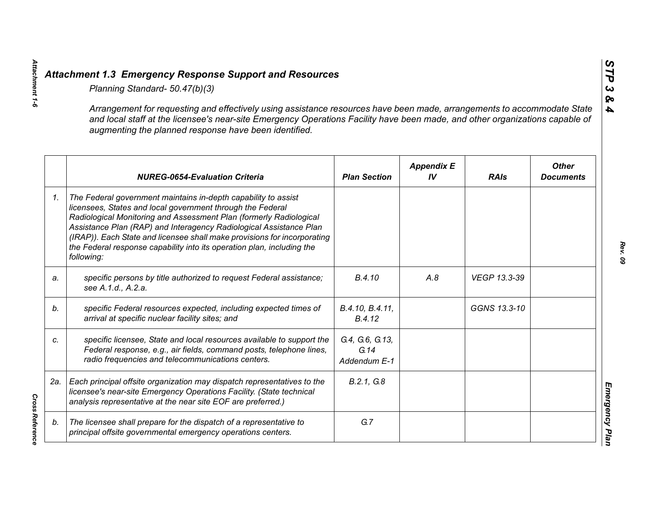|    | Planning Standard- 50.47(b)(3)                                                                                                                                                                                                                                                                                                                                                                                                               |                                         |                         |              |                                  |
|----|----------------------------------------------------------------------------------------------------------------------------------------------------------------------------------------------------------------------------------------------------------------------------------------------------------------------------------------------------------------------------------------------------------------------------------------------|-----------------------------------------|-------------------------|--------------|----------------------------------|
|    | Arrangement for requesting and effectively using assistance resources have been made, arrangements to accommodate State<br>and local staff at the licensee's near-site Emergency Operations Facility have been made, and other organizations capable of<br>augmenting the planned response have been identified.                                                                                                                             |                                         |                         |              |                                  |
|    | <b>NUREG-0654-Evaluation Criteria</b>                                                                                                                                                                                                                                                                                                                                                                                                        | <b>Plan Section</b>                     | <b>Appendix E</b><br>IV | <b>RAIs</b>  | <b>Other</b><br><b>Documents</b> |
| 1. | The Federal government maintains in-depth capability to assist<br>licensees, States and local government through the Federal<br>Radiological Monitoring and Assessment Plan (formerly Radiological<br>Assistance Plan (RAP) and Interagency Radiological Assistance Plan<br>(IRAP)). Each State and licensee shall make provisions for incorporating<br>the Federal response capability into its operation plan, including the<br>following: |                                         |                         |              |                                  |
| a. | specific persons by title authorized to request Federal assistance;<br>see A.1.d., A.2.a.                                                                                                                                                                                                                                                                                                                                                    | B.4.10                                  | A.8                     | VEGP 13.3-39 |                                  |
| b. | specific Federal resources expected, including expected times of<br>arrival at specific nuclear facility sites; and                                                                                                                                                                                                                                                                                                                          | B.4.10, B.4.11,<br>B.4.12               |                         | GGNS 13.3-10 |                                  |
| C. | specific licensee, State and local resources available to support the<br>Federal response, e.g., air fields, command posts, telephone lines,<br>radio frequencies and telecommunications centers.                                                                                                                                                                                                                                            | G.4, G.6, G.13,<br>G.14<br>Addendum E-1 |                         |              |                                  |
|    | 2a.   Each principal offsite organization may dispatch representatives to the<br>licensee's near-site Emergency Operations Facility. (State technical<br>analysis representative at the near site EOF are preferred.)                                                                                                                                                                                                                        | B.2.1, G.8                              |                         |              |                                  |
| b. | The licensee shall prepare for the dispatch of a representative to<br>principal offsite governmental emergency operations centers.                                                                                                                                                                                                                                                                                                           | G.7                                     |                         |              |                                  |

*Attachment 1-6*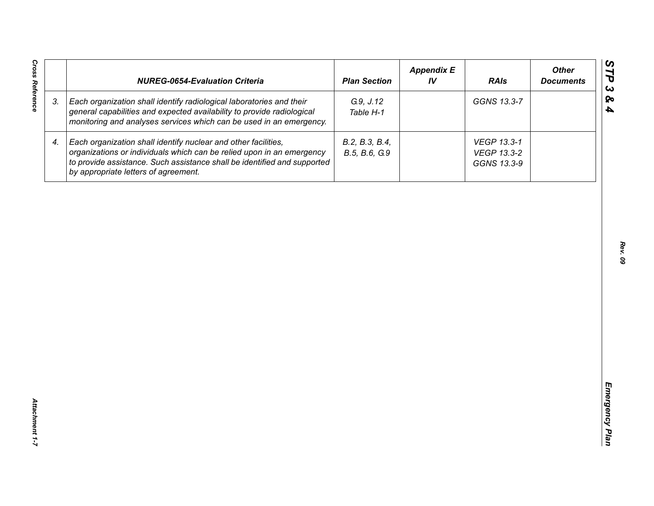| <b>Cross Reference</b> | <b>NUREG-0654-Evaluation Criteria</b>                                                                                                                                                                                                                       | <b>Plan Section</b>             | <b>Appendix E</b><br>IV | <b>RAIs</b>                               | <b>Other</b><br><b>Documents</b> |
|------------------------|-------------------------------------------------------------------------------------------------------------------------------------------------------------------------------------------------------------------------------------------------------------|---------------------------------|-------------------------|-------------------------------------------|----------------------------------|
| 3.                     | Each organization shall identify radiological laboratories and their<br>general capabilities and expected availability to provide radiological<br>monitoring and analyses services which can be used in an emergency.                                       | G.9, J.12<br>Table H-1          |                         | GGNS 13.3-7                               |                                  |
| 4.                     | Each organization shall identify nuclear and other facilities,<br>organizations or individuals which can be relied upon in an emergency<br>to provide assistance. Such assistance shall be identified and supported<br>by appropriate letters of agreement. | B.2, B.3, B.4,<br>B.5, B.6, G.9 |                         | VEGP 13.3-1<br>VEGP 13.3-2<br>GGNS 13.3-9 |                                  |
|                        |                                                                                                                                                                                                                                                             |                                 |                         |                                           |                                  |
|                        |                                                                                                                                                                                                                                                             |                                 |                         |                                           |                                  |
|                        |                                                                                                                                                                                                                                                             |                                 |                         |                                           |                                  |
|                        |                                                                                                                                                                                                                                                             |                                 |                         |                                           |                                  |
|                        |                                                                                                                                                                                                                                                             |                                 |                         |                                           |                                  |
|                        |                                                                                                                                                                                                                                                             |                                 |                         |                                           |                                  |
| Attachment 1-7         |                                                                                                                                                                                                                                                             |                                 |                         |                                           |                                  |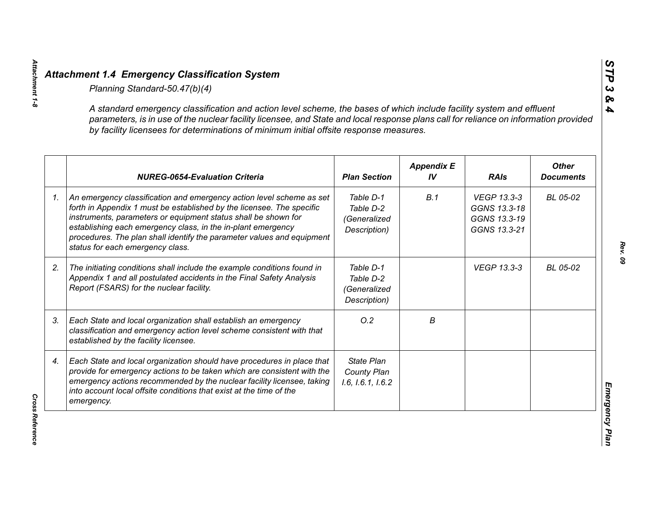| A standard emergency classification and action level scheme, the bases of which include facility system and effluent<br>parameters, is in use of the nuclear facility licensee, and State and local response plans call for reliance on information provided<br>by facility licensees for determinations of minimum initial offsite response measures.                                        |                                                        |                         |                                                             |                                  |
|-----------------------------------------------------------------------------------------------------------------------------------------------------------------------------------------------------------------------------------------------------------------------------------------------------------------------------------------------------------------------------------------------|--------------------------------------------------------|-------------------------|-------------------------------------------------------------|----------------------------------|
| <b>NUREG-0654-Evaluation Criteria</b>                                                                                                                                                                                                                                                                                                                                                         | <b>Plan Section</b>                                    | <b>Appendix E</b><br>IV | <b>RAIs</b>                                                 | <b>Other</b><br><b>Documents</b> |
| An emergency classification and emergency action level scheme as set<br>forth in Appendix 1 must be established by the licensee. The specific<br>instruments, parameters or equipment status shall be shown for<br>establishing each emergency class, in the in-plant emergency<br>procedures. The plan shall identify the parameter values and equipment<br>status for each emergency class. | Table D-1<br>Table D-2<br>(Generalized<br>Description) | B.1                     | VEGP 13.3-3<br>GGNS 13.3-18<br>GGNS 13.3-19<br>GGNS 13.3-21 | BL 05-02                         |
| The initiating conditions shall include the example conditions found in<br>Appendix 1 and all postulated accidents in the Final Safety Analysis<br>Report (FSARS) for the nuclear facility.                                                                                                                                                                                                   | Table D-1<br>Table D-2<br>(Generalized<br>Description) |                         | <b>VEGP 13.3-3</b>                                          | BL 05-02                         |
| Each State and local organization shall establish an emergency<br>classification and emergency action level scheme consistent with that<br>established by the facility licensee.                                                                                                                                                                                                              | O.2                                                    | В                       |                                                             |                                  |
| Each State and local organization should have procedures in place that<br>provide for emergency actions to be taken which are consistent with the<br>emergency actions recommended by the nuclear facility licensee, taking<br>into account local offsite conditions that exist at the time of the<br>emergency.                                                                              | <b>State Plan</b><br>County Plan<br>1.6, 1.6.1, 1.6.2  |                         |                                                             |                                  |

*Attachment 1-8*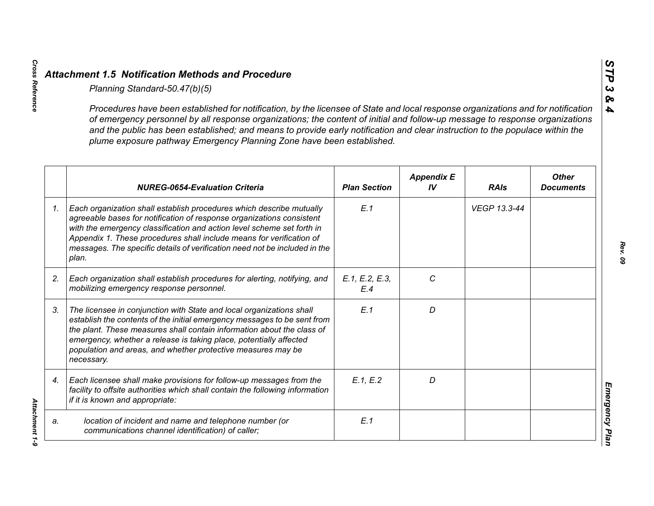|                 | Planning Standard-50.47(b)(5)                                                                                                                                                                                                                                                                                                                                                                                                                                               |                       |                         |              |                                  |
|-----------------|-----------------------------------------------------------------------------------------------------------------------------------------------------------------------------------------------------------------------------------------------------------------------------------------------------------------------------------------------------------------------------------------------------------------------------------------------------------------------------|-----------------------|-------------------------|--------------|----------------------------------|
|                 | Procedures have been established for notification, by the licensee of State and local response organizations and for notification<br>of emergency personnel by all response organizations; the content of initial and follow-up message to response organizations<br>and the public has been established; and means to provide early notification and clear instruction to the populace within the<br>plume exposure pathway Emergency Planning Zone have been established. |                       |                         |              |                                  |
|                 | <b>NUREG-0654-Evaluation Criteria</b>                                                                                                                                                                                                                                                                                                                                                                                                                                       | <b>Plan Section</b>   | <b>Appendix E</b><br>IV | <b>RAIs</b>  | <b>Other</b><br><b>Documents</b> |
| $\mathcal{I}$ . | Each organization shall establish procedures which describe mutually<br>agreeable bases for notification of response organizations consistent<br>with the emergency classification and action level scheme set forth in<br>Appendix 1. These procedures shall include means for verification of<br>messages. The specific details of verification need not be included in the<br>plan.                                                                                      | E.1                   |                         | VEGP 13.3-44 |                                  |
| 2.              | Each organization shall establish procedures for alerting, notifying, and<br>mobilizing emergency response personnel.                                                                                                                                                                                                                                                                                                                                                       | E.1, E.2, E.3,<br>E.4 | C                       |              |                                  |
| 3.              | The licensee in conjunction with State and local organizations shall<br>establish the contents of the initial emergency messages to be sent from<br>the plant. These measures shall contain information about the class of<br>emergency, whether a release is taking place, potentially affected<br>population and areas, and whether protective measures may be<br>necessary.                                                                                              | E.1                   | D                       |              |                                  |
| 4.              | Each licensee shall make provisions for follow-up messages from the<br>facility to offsite authorities which shall contain the following information<br>if it is known and appropriate:                                                                                                                                                                                                                                                                                     | E.1, E.2              | D                       |              |                                  |
| a.              | location of incident and name and telephone number (or<br>communications channel identification) of caller;                                                                                                                                                                                                                                                                                                                                                                 | E.1                   |                         |              |                                  |

*Cross Reference Attachment 1-9* Attachment 1-9

**Cross Reference**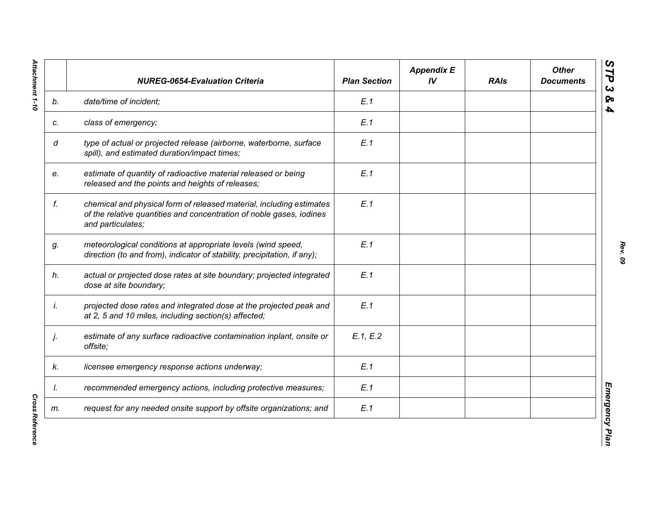|    | <b>NUREG-0654-Evaluation Criteria</b>                                                                                                                             | <b>Plan Section</b> | <b>Appendix E</b><br>IV | <b>RAIs</b> | <b>Other</b><br><b>Documents</b> |
|----|-------------------------------------------------------------------------------------------------------------------------------------------------------------------|---------------------|-------------------------|-------------|----------------------------------|
| b. | date/time of incident;                                                                                                                                            | E.1                 |                         |             |                                  |
| c. | class of emergency;                                                                                                                                               | E.1                 |                         |             |                                  |
| d  | type of actual or projected release (airborne, waterborne, surface<br>spill), and estimated duration/impact times;                                                | E.1                 |                         |             |                                  |
| e. | estimate of quantity of radioactive material released or being<br>released and the points and heights of releases;                                                | E.1                 |                         |             |                                  |
| f. | chemical and physical form of released material, including estimates<br>of the relative quantities and concentration of noble gases, iodines<br>and particulates; | E.1                 |                         |             |                                  |
| g. | meteorological conditions at appropriate levels (wind speed,<br>direction (to and from), indicator of stability, precipitation, if any);                          | E.1                 |                         |             |                                  |
| h. | actual or projected dose rates at site boundary; projected integrated<br>dose at site boundary;                                                                   | E.1                 |                         |             |                                  |
| İ. | projected dose rates and integrated dose at the projected peak and<br>at 2, 5 and 10 miles, including section(s) affected;                                        | E.1                 |                         |             |                                  |
| j. | estimate of any surface radioactive contamination inplant, onsite or<br>offsite;                                                                                  | E.1, E.2            |                         |             |                                  |
| k. | licensee emergency response actions underway;                                                                                                                     | E.1                 |                         |             |                                  |
| I. | recommended emergency actions, including protective measures;                                                                                                     | E.1                 |                         |             |                                  |
| m. | request for any needed onsite support by offsite organizations; and                                                                                               | E.1                 |                         |             |                                  |

**Cross Reference** *Cross Reference*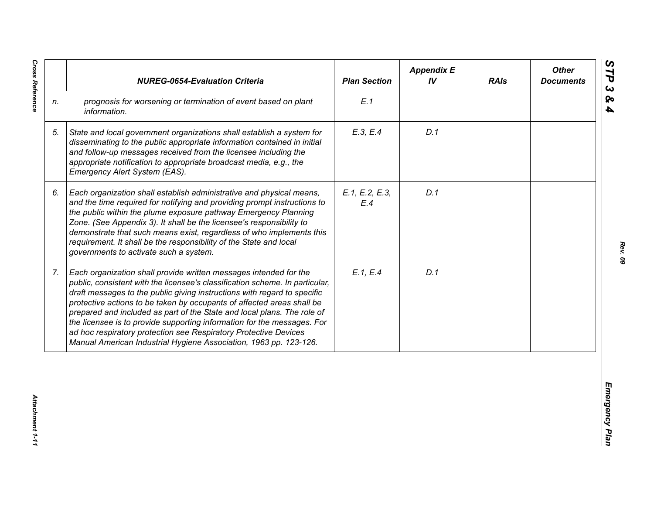|                | <b>NUREG-0654-Evaluation Criteria</b>                                                                                                                                                                                                                                                                                                                                                                                                                                                                                                                                                                  | <b>Plan Section</b>   | <b>Appendix E</b><br>IV | <b>RAIs</b> | <b>Other</b><br><b>Documents</b> |
|----------------|--------------------------------------------------------------------------------------------------------------------------------------------------------------------------------------------------------------------------------------------------------------------------------------------------------------------------------------------------------------------------------------------------------------------------------------------------------------------------------------------------------------------------------------------------------------------------------------------------------|-----------------------|-------------------------|-------------|----------------------------------|
| n.             | prognosis for worsening or termination of event based on plant<br>information.                                                                                                                                                                                                                                                                                                                                                                                                                                                                                                                         | E.1                   |                         |             |                                  |
| 5.             | State and local government organizations shall establish a system for<br>disseminating to the public appropriate information contained in initial<br>and follow-up messages received from the licensee including the<br>appropriate notification to appropriate broadcast media, e.g., the<br>Emergency Alert System (EAS).                                                                                                                                                                                                                                                                            | E.3, E.4              | D.1                     |             |                                  |
| 6.             | Each organization shall establish administrative and physical means,<br>and the time required for notifying and providing prompt instructions to<br>the public within the plume exposure pathway Emergency Planning<br>Zone. (See Appendix 3). It shall be the licensee's responsibility to<br>demonstrate that such means exist, regardless of who implements this<br>requirement. It shall be the responsibility of the State and local<br>governments to activate such a system.                                                                                                                    | E.1, E.2, E.3,<br>E.4 | D.1                     |             |                                  |
| 7 <sub>1</sub> | Each organization shall provide written messages intended for the<br>public, consistent with the licensee's classification scheme. In particular,<br>draft messages to the public giving instructions with regard to specific<br>protective actions to be taken by occupants of affected areas shall be<br>prepared and included as part of the State and local plans. The role of<br>the licensee is to provide supporting information for the messages. For<br>ad hoc respiratory protection see Respiratory Protective Devices<br>Manual American Industrial Hygiene Association, 1963 pp. 123-126. | E.1, E.4              | D.1                     |             |                                  |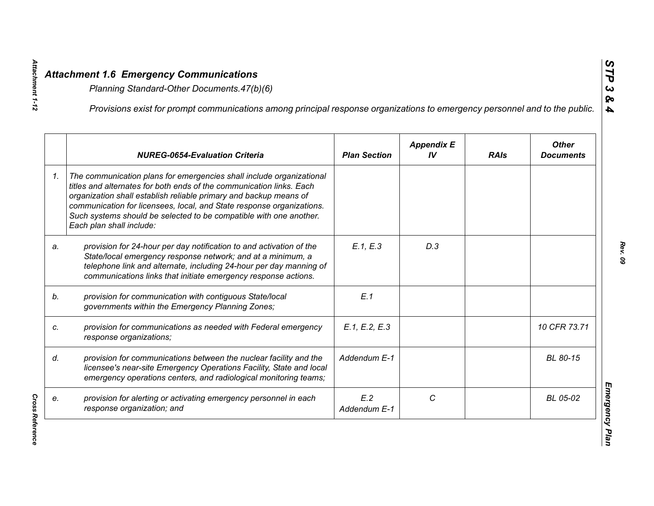|    | Provisions exist for prompt communications among principal response organizations to emergency personnel and to the public.                                                                                                                                                                                                                                                                  |                     |                         |             |                                  |
|----|----------------------------------------------------------------------------------------------------------------------------------------------------------------------------------------------------------------------------------------------------------------------------------------------------------------------------------------------------------------------------------------------|---------------------|-------------------------|-------------|----------------------------------|
|    | <b>NUREG-0654-Evaluation Criteria</b>                                                                                                                                                                                                                                                                                                                                                        | <b>Plan Section</b> | <b>Appendix E</b><br>IV | <b>RAIs</b> | <b>Other</b><br><b>Documents</b> |
| 1. | The communication plans for emergencies shall include organizational<br>titles and alternates for both ends of the communication links. Each<br>organization shall establish reliable primary and backup means of<br>communication for licensees, local, and State response organizations.<br>Such systems should be selected to be compatible with one another.<br>Each plan shall include: |                     |                         |             |                                  |
| a. | provision for 24-hour per day notification to and activation of the<br>State/local emergency response network; and at a minimum, a<br>telephone link and alternate, including 24-hour per day manning of<br>communications links that initiate emergency response actions.                                                                                                                   | E.1, E.3            | D.3                     |             |                                  |
|    | provision for communication with contiguous State/local<br>governments within the Emergency Planning Zones;                                                                                                                                                                                                                                                                                  | E.1                 |                         |             |                                  |
|    | provision for communications as needed with Federal emergency<br>response organizations;                                                                                                                                                                                                                                                                                                     | E.1, E.2, E.3       |                         |             | 10 CFR 73.71                     |
|    | provision for communications between the nuclear facility and the<br>licensee's near-site Emergency Operations Facility, State and local<br>emergency operations centers, and radiological monitoring teams;                                                                                                                                                                                 | Addendum E-1        |                         |             | BL 80-15                         |
|    | provision for alerting or activating emergency personnel in each<br>response organization; and                                                                                                                                                                                                                                                                                               | E.2<br>Addendum E-1 | C                       |             | BL 05-02                         |

**Cross Reference** *Cross Reference* 

*Attachment 1-12*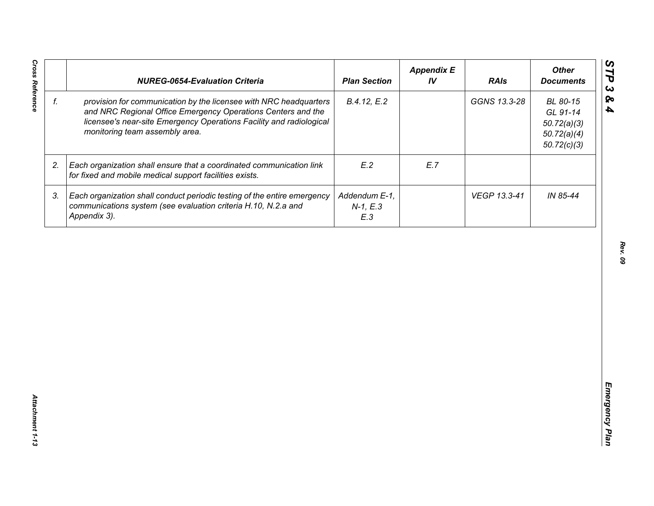|    | <b>NUREG-0654-Evaluation Criteria</b>                                                                                                                                                                                                      | <b>Plan Section</b>                | <b>Appendix E</b><br>IV | <b>RAIs</b>  | <b>Other</b><br><b>Documents</b>                                  |
|----|--------------------------------------------------------------------------------------------------------------------------------------------------------------------------------------------------------------------------------------------|------------------------------------|-------------------------|--------------|-------------------------------------------------------------------|
| f. | provision for communication by the licensee with NRC headquarters<br>and NRC Regional Office Emergency Operations Centers and the<br>licensee's near-site Emergency Operations Facility and radiological<br>monitoring team assembly area. | B.4.12, E.2                        |                         | GGNS 13.3-28 | BL 80-15<br>GL 91-14<br>50.72(a)(3)<br>50.72(a)(4)<br>50.72(c)(3) |
| 2. | Each organization shall ensure that a coordinated communication link<br>for fixed and mobile medical support facilities exists.                                                                                                            | E.2                                | E.7                     |              |                                                                   |
| 3. | Each organization shall conduct periodic testing of the entire emergency<br>communications system (see evaluation criteria H.10, N.2.a and<br>Appendix 3).                                                                                 | Addendum E-1,<br>$N-1, E.3$<br>E.3 |                         | VEGP 13.3-41 | IN 85-44                                                          |
|    |                                                                                                                                                                                                                                            |                                    |                         |              |                                                                   |
|    |                                                                                                                                                                                                                                            |                                    |                         |              |                                                                   |
|    |                                                                                                                                                                                                                                            |                                    |                         |              |                                                                   |
|    |                                                                                                                                                                                                                                            |                                    |                         |              |                                                                   |
|    |                                                                                                                                                                                                                                            |                                    |                         |              |                                                                   |
|    |                                                                                                                                                                                                                                            |                                    |                         |              |                                                                   |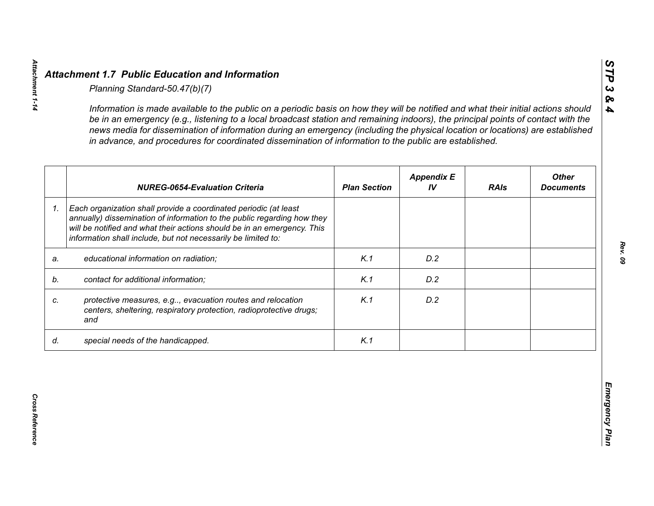|    | <b>NUREG-0654-Evaluation Criteria</b>                                                                                                                                                                                                                                                   | <b>Plan Section</b> | <b>Appendix E</b><br>IV | <b>RAIs</b> | <b>Other</b><br><b>Documents</b> |
|----|-----------------------------------------------------------------------------------------------------------------------------------------------------------------------------------------------------------------------------------------------------------------------------------------|---------------------|-------------------------|-------------|----------------------------------|
| 1. | Each organization shall provide a coordinated periodic (at least<br>annually) dissemination of information to the public regarding how they<br>will be notified and what their actions should be in an emergency. This<br>information shall include, but not necessarily be limited to: |                     |                         |             |                                  |
| a. | educational information on radiation;                                                                                                                                                                                                                                                   | K.1                 | D.2                     |             |                                  |
| b. | contact for additional information;                                                                                                                                                                                                                                                     | K.1                 | D.2                     |             |                                  |
| c. | protective measures, e.g, evacuation routes and relocation<br>centers, sheltering, respiratory protection, radioprotective drugs;<br>and                                                                                                                                                | K.1                 | D.2                     |             |                                  |
| d. | special needs of the handicapped.                                                                                                                                                                                                                                                       | K.1                 |                         |             |                                  |

*STP 3 & 4*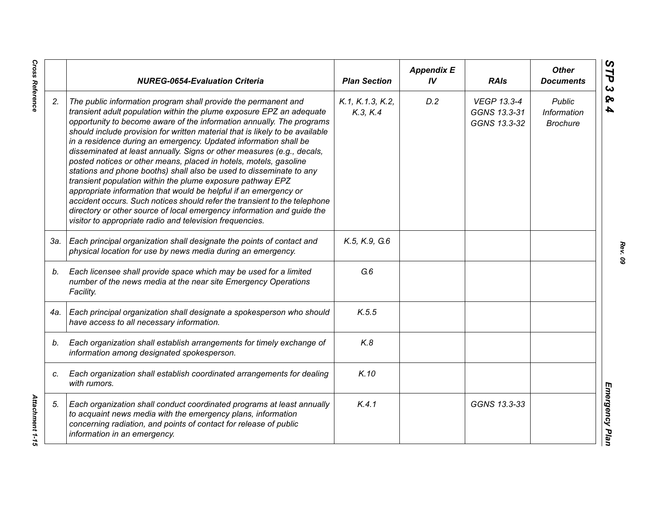|     | <b>NUREG-0654-Evaluation Criteria</b>                                                                                                                                                                                                                                                                                                                                                                                                                                                                                                                                                                                                                                                                                                                                                                                                                                                                                                          | <b>Plan Section</b>         | <b>Appendix E</b><br>IV | <b>RAIs</b>                                        | <b>Other</b><br><b>Documents</b>                       |
|-----|------------------------------------------------------------------------------------------------------------------------------------------------------------------------------------------------------------------------------------------------------------------------------------------------------------------------------------------------------------------------------------------------------------------------------------------------------------------------------------------------------------------------------------------------------------------------------------------------------------------------------------------------------------------------------------------------------------------------------------------------------------------------------------------------------------------------------------------------------------------------------------------------------------------------------------------------|-----------------------------|-------------------------|----------------------------------------------------|--------------------------------------------------------|
| 2.  | The public information program shall provide the permanent and<br>transient adult population within the plume exposure EPZ an adequate<br>opportunity to become aware of the information annually. The programs<br>should include provision for written material that is likely to be available<br>in a residence during an emergency. Updated information shall be<br>disseminated at least annually. Signs or other measures (e.g., decals,<br>posted notices or other means, placed in hotels, motels, gasoline<br>stations and phone booths) shall also be used to disseminate to any<br>transient population within the plume exposure pathway EPZ<br>appropriate information that would be helpful if an emergency or<br>accident occurs. Such notices should refer the transient to the telephone<br>directory or other source of local emergency information and guide the<br>visitor to appropriate radio and television frequencies. | K.1, K.1.3, K.2,<br>K.3 K.4 | D.2                     | <b>VEGP 13.3-4</b><br>GGNS 13.3-31<br>GGNS 13.3-32 | <b>Public</b><br><b>Information</b><br><b>Brochure</b> |
| 3а. | Each principal organization shall designate the points of contact and<br>physical location for use by news media during an emergency.                                                                                                                                                                                                                                                                                                                                                                                                                                                                                                                                                                                                                                                                                                                                                                                                          | K.5, K.9, G.6               |                         |                                                    |                                                        |
| b.  | Each licensee shall provide space which may be used for a limited<br>number of the news media at the near site Emergency Operations<br>Facility.                                                                                                                                                                                                                                                                                                                                                                                                                                                                                                                                                                                                                                                                                                                                                                                               | G.6                         |                         |                                                    |                                                        |
| 4a. | Each principal organization shall designate a spokesperson who should<br>have access to all necessary information.                                                                                                                                                                                                                                                                                                                                                                                                                                                                                                                                                                                                                                                                                                                                                                                                                             | K.5.5                       |                         |                                                    |                                                        |
| b.  | Each organization shall establish arrangements for timely exchange of<br>information among designated spokesperson.                                                                                                                                                                                                                                                                                                                                                                                                                                                                                                                                                                                                                                                                                                                                                                                                                            | K.8                         |                         |                                                    |                                                        |
| C.  | Each organization shall establish coordinated arrangements for dealing<br>with rumors.                                                                                                                                                                                                                                                                                                                                                                                                                                                                                                                                                                                                                                                                                                                                                                                                                                                         | K.10                        |                         |                                                    |                                                        |
| 5.  | Each organization shall conduct coordinated programs at least annually<br>to acquaint news media with the emergency plans, information<br>concerning radiation, and points of contact for release of public<br>information in an emergency.                                                                                                                                                                                                                                                                                                                                                                                                                                                                                                                                                                                                                                                                                                    | K.4.1                       |                         | GGNS 13.3-33                                       |                                                        |

*Rev. 09*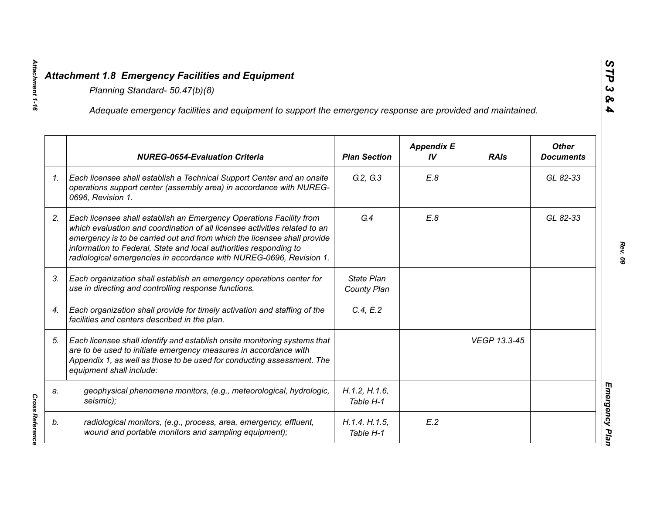|    | Adequate emergency facilities and equipment to support the emergency response are provided and maintained.                                                                                                                                                                                                                                                                |                                  |                         |              |                                  |
|----|---------------------------------------------------------------------------------------------------------------------------------------------------------------------------------------------------------------------------------------------------------------------------------------------------------------------------------------------------------------------------|----------------------------------|-------------------------|--------------|----------------------------------|
|    | <b>NUREG-0654-Evaluation Criteria</b>                                                                                                                                                                                                                                                                                                                                     | <b>Plan Section</b>              | <b>Appendix E</b><br>IV | <b>RAIs</b>  | <b>Other</b><br><b>Documents</b> |
| 1. | Each licensee shall establish a Technical Support Center and an onsite<br>operations support center (assembly area) in accordance with NUREG-<br>0696, Revision 1.                                                                                                                                                                                                        | G.2, G.3                         | E.8                     |              | GL 82-33                         |
| 2. | Each licensee shall establish an Emergency Operations Facility from<br>which evaluation and coordination of all licensee activities related to an<br>emergency is to be carried out and from which the licensee shall provide<br>information to Federal, State and local authorities responding to<br>radiological emergencies in accordance with NUREG-0696, Revision 1. | G.4                              | E.8                     |              | GL 82-33                         |
| 3. | Each organization shall establish an emergency operations center for<br>use in directing and controlling response functions.                                                                                                                                                                                                                                              | <b>State Plan</b><br>County Plan |                         |              |                                  |
| 4. | Each organization shall provide for timely activation and staffing of the<br>facilities and centers described in the plan.                                                                                                                                                                                                                                                | C.4, E.2                         |                         |              |                                  |
| 5. | Each licensee shall identify and establish onsite monitoring systems that<br>are to be used to initiate emergency measures in accordance with<br>Appendix 1, as well as those to be used for conducting assessment. The<br>equipment shall include:                                                                                                                       |                                  |                         | VEGP 13.3-45 |                                  |
| a. | geophysical phenomena monitors, (e.g., meteorological, hydrologic,<br>seismic);                                                                                                                                                                                                                                                                                           | H.1.2, H.1.6,<br>Table H-1       |                         |              |                                  |
| b. | radiological monitors, (e.g., process, area, emergency, effluent,<br>wound and portable monitors and sampling equipment);                                                                                                                                                                                                                                                 | H.1.4, H.1.5,<br>Table H-1       | E.2                     |              |                                  |

*Attachment 1-16*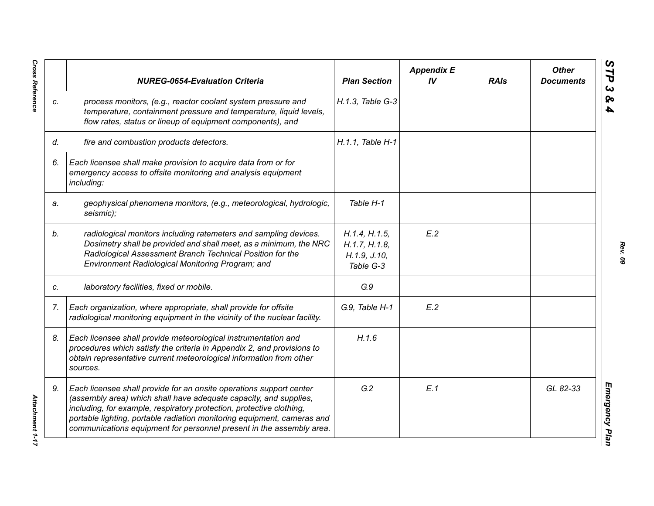|    | <b>NUREG-0654-Evaluation Criteria</b>                                                                                                                                                                                                                                                                                                                               | <b>Plan Section</b>                                           | <b>Appendix E</b><br>IV | <b>RAIs</b> | <b>Other</b><br><b>Documents</b> |
|----|---------------------------------------------------------------------------------------------------------------------------------------------------------------------------------------------------------------------------------------------------------------------------------------------------------------------------------------------------------------------|---------------------------------------------------------------|-------------------------|-------------|----------------------------------|
| C. | process monitors, (e.g., reactor coolant system pressure and<br>temperature, containment pressure and temperature, liquid levels,<br>flow rates, status or lineup of equipment components), and                                                                                                                                                                     | H.1.3, Table G-3                                              |                         |             |                                  |
| d. | fire and combustion products detectors.                                                                                                                                                                                                                                                                                                                             | H.1.1, Table H-1                                              |                         |             |                                  |
| 6. | Each licensee shall make provision to acquire data from or for<br>emergency access to offsite monitoring and analysis equipment<br>including:                                                                                                                                                                                                                       |                                                               |                         |             |                                  |
| a. | geophysical phenomena monitors, (e.g., meteorological, hydrologic,<br>seismic);                                                                                                                                                                                                                                                                                     | Table H-1                                                     |                         |             |                                  |
| b. | radiological monitors including ratemeters and sampling devices.<br>Dosimetry shall be provided and shall meet, as a minimum, the NRC<br>Radiological Assessment Branch Technical Position for the<br>Environment Radiological Monitoring Program; and                                                                                                              | H.1.4, H.1.5,<br>H.1.7, H.1.8,<br>H. 1.9, J. 10,<br>Table G-3 | E.2                     |             |                                  |
| C. | laboratory facilities, fixed or mobile.                                                                                                                                                                                                                                                                                                                             | G.9                                                           |                         |             |                                  |
| 7. | Each organization, where appropriate, shall provide for offsite<br>radiological monitoring equipment in the vicinity of the nuclear facility.                                                                                                                                                                                                                       | G.9, Table H-1                                                | E.2                     |             |                                  |
| 8. | Each licensee shall provide meteorological instrumentation and<br>procedures which satisfy the criteria in Appendix 2, and provisions to<br>obtain representative current meteorological information from other<br>sources.                                                                                                                                         | H.1.6                                                         |                         |             |                                  |
| 9. | Each licensee shall provide for an onsite operations support center<br>(assembly area) which shall have adequate capacity, and supplies,<br>including, for example, respiratory protection, protective clothing,<br>portable lighting, portable radiation monitoring equipment, cameras and<br>communications equipment for personnel present in the assembly area. | G.2                                                           | E.1                     |             | GL 82-33                         |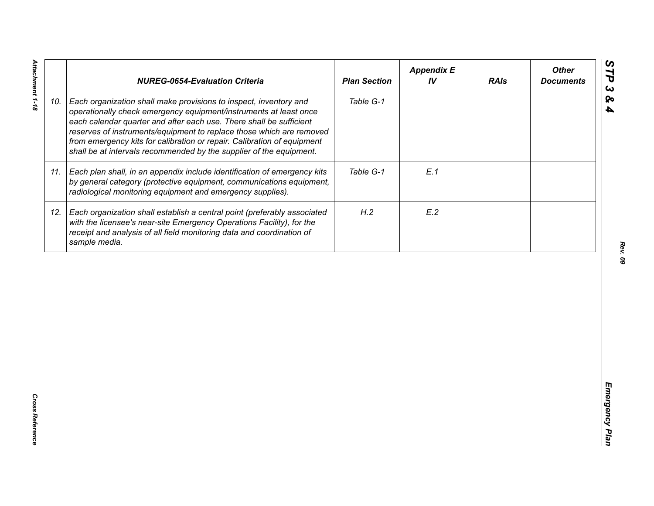|     | <b>NUREG-0654-Evaluation Criteria</b>                                                                                                                                                                                                                                                                                                                                                                                                   | <b>Plan Section</b> | <b>Appendix E</b><br>IV | <b>RAIs</b> | <b>Other</b><br><b>Documents</b> |
|-----|-----------------------------------------------------------------------------------------------------------------------------------------------------------------------------------------------------------------------------------------------------------------------------------------------------------------------------------------------------------------------------------------------------------------------------------------|---------------------|-------------------------|-------------|----------------------------------|
| 10. | Each organization shall make provisions to inspect, inventory and<br>operationally check emergency equipment/instruments at least once<br>each calendar quarter and after each use. There shall be sufficient<br>reserves of instruments/equipment to replace those which are removed<br>from emergency kits for calibration or repair. Calibration of equipment<br>shall be at intervals recommended by the supplier of the equipment. | Table G-1           |                         |             |                                  |
|     | 11. Each plan shall, in an appendix include identification of emergency kits<br>by general category (protective equipment, communications equipment,<br>radiological monitoring equipment and emergency supplies).                                                                                                                                                                                                                      | Table G-1           | E.1                     |             |                                  |
|     | 12. Each organization shall establish a central point (preferably associated<br>with the licensee's near-site Emergency Operations Facility), for the<br>receipt and analysis of all field monitoring data and coordination of<br>sample media.                                                                                                                                                                                         | H.2                 | E.2                     |             |                                  |
|     |                                                                                                                                                                                                                                                                                                                                                                                                                                         |                     |                         |             |                                  |
|     |                                                                                                                                                                                                                                                                                                                                                                                                                                         |                     |                         |             |                                  |
|     |                                                                                                                                                                                                                                                                                                                                                                                                                                         |                     |                         |             |                                  |
|     |                                                                                                                                                                                                                                                                                                                                                                                                                                         |                     |                         |             |                                  |
|     |                                                                                                                                                                                                                                                                                                                                                                                                                                         |                     |                         |             |                                  |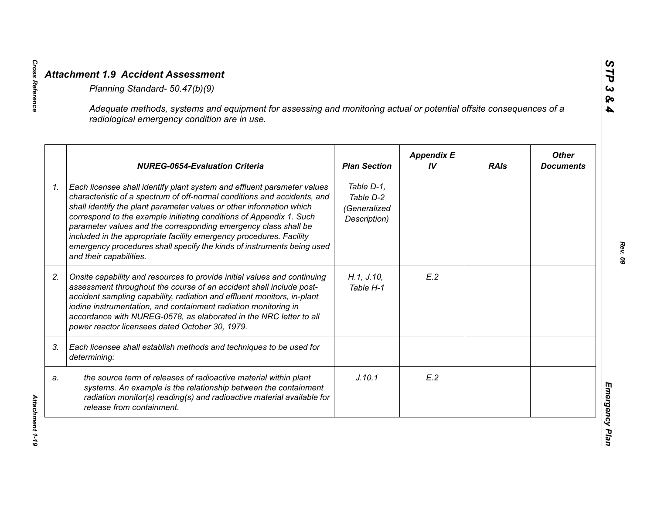|    | Adequate methods, systems and equipment for assessing and monitoring actual or potential offsite consequences of a<br>radiological emergency condition are in use.                                                                                                                                                                                                                                                                                                                                                                                |                                                         |                         |             |                                  |
|----|---------------------------------------------------------------------------------------------------------------------------------------------------------------------------------------------------------------------------------------------------------------------------------------------------------------------------------------------------------------------------------------------------------------------------------------------------------------------------------------------------------------------------------------------------|---------------------------------------------------------|-------------------------|-------------|----------------------------------|
|    | <b>NUREG-0654-Evaluation Criteria</b>                                                                                                                                                                                                                                                                                                                                                                                                                                                                                                             | <b>Plan Section</b>                                     | <b>Appendix E</b><br>IV | <b>RAIs</b> | <b>Other</b><br><b>Documents</b> |
| 1. | Each licensee shall identify plant system and effluent parameter values<br>characteristic of a spectrum of off-normal conditions and accidents, and<br>shall identify the plant parameter values or other information which<br>correspond to the example initiating conditions of Appendix 1. Such<br>parameter values and the corresponding emergency class shall be<br>included in the appropriate facility emergency procedures. Facility<br>emergency procedures shall specify the kinds of instruments being used<br>and their capabilities. | Table D-1,<br>Table D-2<br>(Generalized<br>Description) |                         |             |                                  |
| 2. | Onsite capability and resources to provide initial values and continuing<br>assessment throughout the course of an accident shall include post-<br>accident sampling capability, radiation and effluent monitors, in-plant<br>iodine instrumentation, and containment radiation monitoring in<br>accordance with NUREG-0578, as elaborated in the NRC letter to all<br>power reactor licensees dated October 30, 1979.                                                                                                                            | H.1, J.10,<br>Table H-1                                 | E.2                     |             |                                  |
| 3. | Each licensee shall establish methods and techniques to be used for<br>determining:                                                                                                                                                                                                                                                                                                                                                                                                                                                               |                                                         |                         |             |                                  |
| a. | the source term of releases of radioactive material within plant<br>systems. An example is the relationship between the containment<br>radiation monitor(s) reading(s) and radioactive material available for<br>release from containment.                                                                                                                                                                                                                                                                                                        | J.10.1                                                  | E.2                     |             |                                  |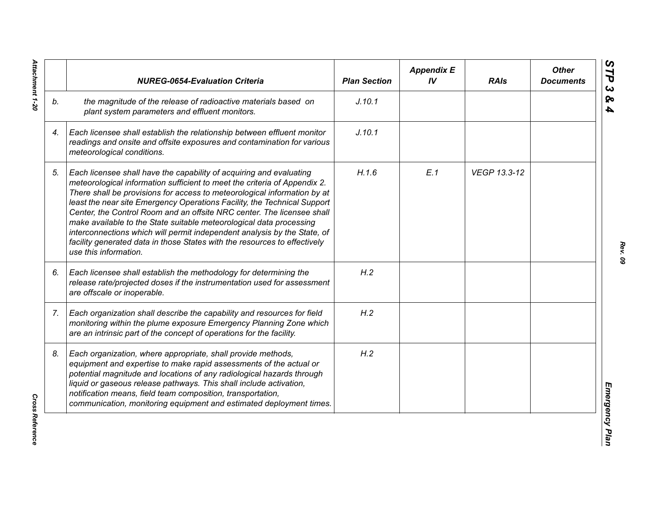|    | <b>NUREG-0654-Evaluation Criteria</b>                                                                                                                                                                                                                                                                                                                                                                                                                                                                                                                                                                                                       | <b>Plan Section</b> | <b>Appendix E</b><br>IV | <b>RAIs</b>  | <b>Other</b><br><b>Documents</b> |
|----|---------------------------------------------------------------------------------------------------------------------------------------------------------------------------------------------------------------------------------------------------------------------------------------------------------------------------------------------------------------------------------------------------------------------------------------------------------------------------------------------------------------------------------------------------------------------------------------------------------------------------------------------|---------------------|-------------------------|--------------|----------------------------------|
| b. | the magnitude of the release of radioactive materials based on<br>plant system parameters and effluent monitors.                                                                                                                                                                                                                                                                                                                                                                                                                                                                                                                            | J.10.1              |                         |              |                                  |
| 4. | Each licensee shall establish the relationship between effluent monitor<br>readings and onsite and offsite exposures and contamination for various<br>meteorological conditions.                                                                                                                                                                                                                                                                                                                                                                                                                                                            | J.10.1              |                         |              |                                  |
| 5. | Each licensee shall have the capability of acquiring and evaluating<br>meteorological information sufficient to meet the criteria of Appendix 2.<br>There shall be provisions for access to meteorological information by at<br>least the near site Emergency Operations Facility, the Technical Support<br>Center, the Control Room and an offsite NRC center. The licensee shall<br>make available to the State suitable meteorological data processing<br>interconnections which will permit independent analysis by the State, of<br>facility generated data in those States with the resources to effectively<br>use this information. | H.1.6               | E.1                     | VEGP 13.3-12 |                                  |
| 6. | Each licensee shall establish the methodology for determining the<br>release rate/projected doses if the instrumentation used for assessment<br>are offscale or inoperable.                                                                                                                                                                                                                                                                                                                                                                                                                                                                 | H.2                 |                         |              |                                  |
| 7. | Each organization shall describe the capability and resources for field<br>monitoring within the plume exposure Emergency Planning Zone which<br>are an intrinsic part of the concept of operations for the facility.                                                                                                                                                                                                                                                                                                                                                                                                                       | H.2                 |                         |              |                                  |
| 8. | Each organization, where appropriate, shall provide methods,<br>equipment and expertise to make rapid assessments of the actual or<br>potential magnitude and locations of any radiological hazards through<br>liquid or gaseous release pathways. This shall include activation,<br>notification means, field team composition, transportation,<br>communication, monitoring equipment and estimated deployment times.                                                                                                                                                                                                                     | H.2                 |                         |              |                                  |

Attachment 1-20 *Attachment 1-20*

**Cross Reference** *Cross Reference*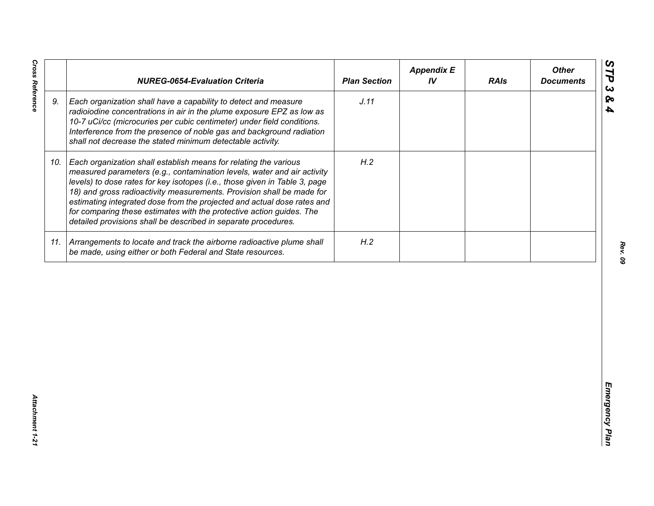| J.11<br>9.<br>Each organization shall have a capability to detect and measure<br>radioiodine concentrations in air in the plume exposure EPZ as low as<br>10-7 uCi/cc (microcuries per cubic centimeter) under field conditions.<br>Interference from the presence of noble gas and background radiation<br>shall not decrease the stated minimum detectable activity.<br>H.2<br>Each organization shall establish means for relating the various<br>10.<br>measured parameters (e.g., contamination levels, water and air activity<br>levels) to dose rates for key isotopes (i.e., those given in Table 3, page<br>18) and gross radioactivity measurements. Provision shall be made for<br>estimating integrated dose from the projected and actual dose rates and<br>for comparing these estimates with the protective action guides. The<br>detailed provisions shall be described in separate procedures. | H.2<br>11. Arrangements to locate and track the airborne radioactive plume shall<br>be made, using either or both Federal and State resources. | <b>NUREG-0654-Evaluation Criteria</b> | <b>Plan Section</b> | <b>Appendix E</b><br>IV | <b>RAIs</b> | <b>Other</b><br><b>Documents</b> |
|-----------------------------------------------------------------------------------------------------------------------------------------------------------------------------------------------------------------------------------------------------------------------------------------------------------------------------------------------------------------------------------------------------------------------------------------------------------------------------------------------------------------------------------------------------------------------------------------------------------------------------------------------------------------------------------------------------------------------------------------------------------------------------------------------------------------------------------------------------------------------------------------------------------------|------------------------------------------------------------------------------------------------------------------------------------------------|---------------------------------------|---------------------|-------------------------|-------------|----------------------------------|
|                                                                                                                                                                                                                                                                                                                                                                                                                                                                                                                                                                                                                                                                                                                                                                                                                                                                                                                 |                                                                                                                                                |                                       |                     |                         |             |                                  |
|                                                                                                                                                                                                                                                                                                                                                                                                                                                                                                                                                                                                                                                                                                                                                                                                                                                                                                                 |                                                                                                                                                |                                       |                     |                         |             |                                  |
|                                                                                                                                                                                                                                                                                                                                                                                                                                                                                                                                                                                                                                                                                                                                                                                                                                                                                                                 |                                                                                                                                                |                                       |                     |                         |             |                                  |
|                                                                                                                                                                                                                                                                                                                                                                                                                                                                                                                                                                                                                                                                                                                                                                                                                                                                                                                 |                                                                                                                                                |                                       |                     |                         |             |                                  |

*Cross Reference Attachment 1-21* Attachment 1-21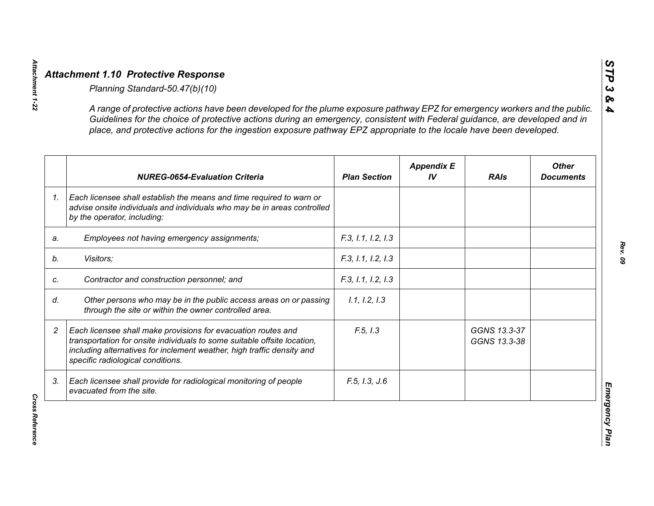|    | A range of protective actions have been developed for the plume exposure pathway EPZ for emergency workers and the public.<br>Guidelines for the choice of protective actions during an emergency, consistent with Federal guidance, are developed and in<br>place, and protective actions for the ingestion exposure pathway EPZ appropriate to the locale have been developed. |                     |                         |                              |                                  |
|----|----------------------------------------------------------------------------------------------------------------------------------------------------------------------------------------------------------------------------------------------------------------------------------------------------------------------------------------------------------------------------------|---------------------|-------------------------|------------------------------|----------------------------------|
|    | <b>NUREG-0654-Evaluation Criteria</b>                                                                                                                                                                                                                                                                                                                                            | <b>Plan Section</b> | <b>Appendix E</b><br>IV | <b>RAIs</b>                  | <b>Other</b><br><b>Documents</b> |
|    | Each licensee shall establish the means and time required to warn or<br>advise onsite individuals and individuals who may be in areas controlled<br>by the operator, including:                                                                                                                                                                                                  |                     |                         |                              |                                  |
| a. | Employees not having emergency assignments;                                                                                                                                                                                                                                                                                                                                      | F.3, 1.1, 1.2, 1.3  |                         |                              |                                  |
|    | Visitors;                                                                                                                                                                                                                                                                                                                                                                        | F.3, 1.1, 1.2, 1.3  |                         |                              |                                  |
| C. | Contractor and construction personnel; and                                                                                                                                                                                                                                                                                                                                       | F.3, 1.1, 1.2, 1.3  |                         |                              |                                  |
|    | Other persons who may be in the public access areas on or passing<br>through the site or within the owner controlled area.                                                                                                                                                                                                                                                       | 1.1, 1.2, 1.3       |                         |                              |                                  |
|    | Each licensee shall make provisions for evacuation routes and<br>transportation for onsite individuals to some suitable offsite location,<br>including alternatives for inclement weather, high traffic density and<br>specific radiological conditions.                                                                                                                         | F.5, I.3            |                         | GGNS 13.3-37<br>GGNS 13.3-38 |                                  |
|    | Each licensee shall provide for radiological monitoring of people<br>evacuated from the site.                                                                                                                                                                                                                                                                                    | F.5, I.3, J.6       |                         |                              |                                  |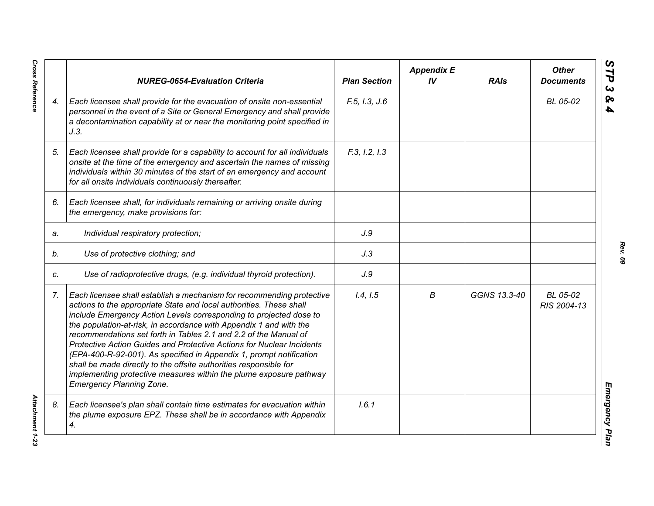|    | <b>NUREG-0654-Evaluation Criteria</b>                                                                                                                                                                                                                                                                                                                                                                                                                                                                                                                                                                                                                                                      | <b>Plan Section</b> | <b>Appendix E</b><br>IV | <b>RAIs</b>  | <b>Other</b><br><b>Documents</b> |
|----|--------------------------------------------------------------------------------------------------------------------------------------------------------------------------------------------------------------------------------------------------------------------------------------------------------------------------------------------------------------------------------------------------------------------------------------------------------------------------------------------------------------------------------------------------------------------------------------------------------------------------------------------------------------------------------------------|---------------------|-------------------------|--------------|----------------------------------|
| 4. | Each licensee shall provide for the evacuation of onsite non-essential<br>personnel in the event of a Site or General Emergency and shall provide<br>a decontamination capability at or near the monitoring point specified in<br>J.3.                                                                                                                                                                                                                                                                                                                                                                                                                                                     | F.5, I.3, J.6       |                         |              | BL 05-02                         |
| 5. | Each licensee shall provide for a capability to account for all individuals<br>onsite at the time of the emergency and ascertain the names of missing<br>individuals within 30 minutes of the start of an emergency and account<br>for all onsite individuals continuously thereafter.                                                                                                                                                                                                                                                                                                                                                                                                     | F.3, I.2, I.3       |                         |              |                                  |
| 6. | Each licensee shall, for individuals remaining or arriving onsite during<br>the emergency, make provisions for:                                                                                                                                                                                                                                                                                                                                                                                                                                                                                                                                                                            |                     |                         |              |                                  |
| a. | Individual respiratory protection;                                                                                                                                                                                                                                                                                                                                                                                                                                                                                                                                                                                                                                                         | J.9                 |                         |              |                                  |
| b. | Use of protective clothing; and                                                                                                                                                                                                                                                                                                                                                                                                                                                                                                                                                                                                                                                            | J.3                 |                         |              |                                  |
| C. | Use of radioprotective drugs, (e.g. individual thyroid protection).                                                                                                                                                                                                                                                                                                                                                                                                                                                                                                                                                                                                                        | J.9                 |                         |              |                                  |
| 7. | Each licensee shall establish a mechanism for recommending protective<br>actions to the appropriate State and local authorities. These shall<br>include Emergency Action Levels corresponding to projected dose to<br>the population-at-risk, in accordance with Appendix 1 and with the<br>recommendations set forth in Tables 2.1 and 2.2 of the Manual of<br>Protective Action Guides and Protective Actions for Nuclear Incidents<br>(EPA-400-R-92-001). As specified in Appendix 1, prompt notification<br>shall be made directly to the offsite authorities responsible for<br>implementing protective measures within the plume exposure pathway<br><b>Emergency Planning Zone.</b> | 1.4, 1.5            | B                       | GGNS 13.3-40 | BL 05-02<br>RIS 2004-13          |
| 8. | Each licensee's plan shall contain time estimates for evacuation within<br>the plume exposure EPZ. These shall be in accordance with Appendix<br>4.                                                                                                                                                                                                                                                                                                                                                                                                                                                                                                                                        | 1.6.1               |                         |              |                                  |

**Cross Reference** *Cross Reference Attachment 1-23*

*Rev. 09*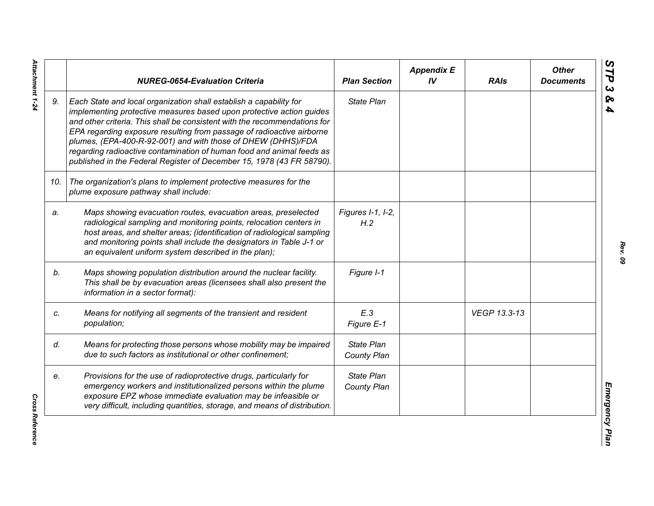|     | <b>NUREG-0654-Evaluation Criteria</b>                                                                                                                                                                                                                                                                                                                                                                                                                                                                              | <b>Plan Section</b>              | <b>Appendix E</b><br>IV | <b>RAIs</b>  | <b>Other</b><br><b>Documents</b> |
|-----|--------------------------------------------------------------------------------------------------------------------------------------------------------------------------------------------------------------------------------------------------------------------------------------------------------------------------------------------------------------------------------------------------------------------------------------------------------------------------------------------------------------------|----------------------------------|-------------------------|--------------|----------------------------------|
| 9.  | Each State and local organization shall establish a capability for<br>implementing protective measures based upon protective action guides<br>and other criteria. This shall be consistent with the recommendations for<br>EPA regarding exposure resulting from passage of radioactive airborne<br>plumes, (EPA-400-R-92-001) and with those of DHEW (DHHS)/FDA<br>regarding radioactive contamination of human food and animal feeds as<br>published in the Federal Register of December 15, 1978 (43 FR 58790). | State Plan                       |                         |              |                                  |
| 10. | The organization's plans to implement protective measures for the<br>plume exposure pathway shall include:                                                                                                                                                                                                                                                                                                                                                                                                         |                                  |                         |              |                                  |
| a.  | Maps showing evacuation routes, evacuation areas, preselected<br>radiological sampling and monitoring points, relocation centers in<br>host areas, and shelter areas; (identification of radiological sampling<br>and monitoring points shall include the designators in Table J-1 or<br>an equivalent uniform system described in the plan);                                                                                                                                                                      | Figures I-1, I-2,<br>H.2         |                         |              |                                  |
| b.  | Maps showing population distribution around the nuclear facility.<br>This shall be by evacuation areas (licensees shall also present the<br>information in a sector format):                                                                                                                                                                                                                                                                                                                                       | Figure I-1                       |                         |              |                                  |
| C.  | Means for notifying all segments of the transient and resident<br>population;                                                                                                                                                                                                                                                                                                                                                                                                                                      | E.3<br>Figure E-1                |                         | VEGP 13.3-13 |                                  |
| d.  | Means for protecting those persons whose mobility may be impaired<br>due to such factors as institutional or other confinement;                                                                                                                                                                                                                                                                                                                                                                                    | <b>State Plan</b><br>County Plan |                         |              |                                  |
| e.  | Provisions for the use of radioprotective drugs, particularly for<br>emergency workers and institutionalized persons within the plume<br>exposure EPZ whose immediate evaluation may be infeasible or<br>very difficult, including quantities, storage, and means of distribution.                                                                                                                                                                                                                                 | State Plan<br>County Plan        |                         |              |                                  |

Attachment 1-24 *Attachment 1-24*

**Cross Reference** *Cross Reference*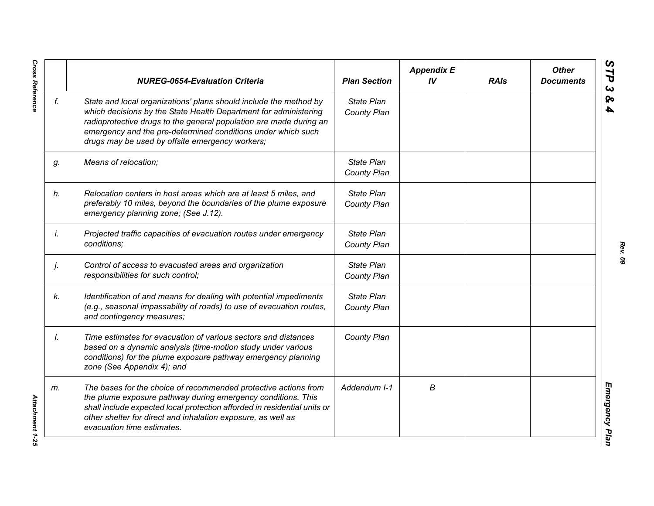|    | <b>NUREG-0654-Evaluation Criteria</b>                                                                                                                                                                                                                                                                                          | <b>Plan Section</b>              | <b>Appendix E</b><br>IV | <b>RAIs</b> | <b>Other</b><br><b>Documents</b> |
|----|--------------------------------------------------------------------------------------------------------------------------------------------------------------------------------------------------------------------------------------------------------------------------------------------------------------------------------|----------------------------------|-------------------------|-------------|----------------------------------|
| f. | State and local organizations' plans should include the method by<br>which decisions by the State Health Department for administering<br>radioprotective drugs to the general population are made during an<br>emergency and the pre-determined conditions under which such<br>drugs may be used by offsite emergency workers; | <b>State Plan</b><br>County Plan |                         |             |                                  |
| g. | Means of relocation;                                                                                                                                                                                                                                                                                                           | State Plan<br>County Plan        |                         |             |                                  |
| h. | Relocation centers in host areas which are at least 5 miles, and<br>preferably 10 miles, beyond the boundaries of the plume exposure<br>emergency planning zone; (See J.12).                                                                                                                                                   | State Plan<br>County Plan        |                         |             |                                  |
| İ. | Projected traffic capacities of evacuation routes under emergency<br>conditions;                                                                                                                                                                                                                                               | State Plan<br>County Plan        |                         |             |                                  |
| j. | Control of access to evacuated areas and organization<br>responsibilities for such control;                                                                                                                                                                                                                                    | State Plan<br>County Plan        |                         |             |                                  |
| k. | Identification of and means for dealing with potential impediments<br>(e.g., seasonal impassability of roads) to use of evacuation routes,<br>and contingency measures;                                                                                                                                                        | State Plan<br>County Plan        |                         |             |                                  |
| Ι. | Time estimates for evacuation of various sectors and distances<br>based on a dynamic analysis (time-motion study under various<br>conditions) for the plume exposure pathway emergency planning<br>zone (See Appendix 4); and                                                                                                  | County Plan                      |                         |             |                                  |
| m. | The bases for the choice of recommended protective actions from<br>the plume exposure pathway during emergency conditions. This<br>shall include expected local protection afforded in residential units or<br>other shelter for direct and inhalation exposure, as well as<br>evacuation time estimates.                      | Addendum I-1                     | В                       |             |                                  |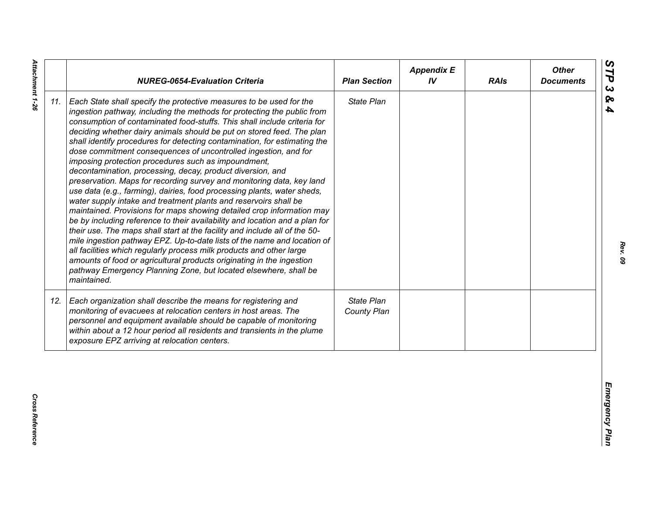| State Plan<br>Each State shall specify the protective measures to be used for the<br>ingestion pathway, including the methods for protecting the public from<br>consumption of contaminated food-stuffs. This shall include criteria for<br>deciding whether dairy animals should be put on stored feed. The plan<br>shall identify procedures for detecting contamination, for estimating the<br>dose commitment consequences of uncontrolled ingestion, and for<br>imposing protection procedures such as impoundment,<br>decontamination, processing, decay, product diversion, and<br>preservation. Maps for recording survey and monitoring data, key land<br>use data (e.g., farming), dairies, food processing plants, water sheds,<br>water supply intake and treatment plants and reservoirs shall be<br>maintained. Provisions for maps showing detailed crop information may<br>be by including reference to their availability and location and a plan for<br>their use. The maps shall start at the facility and include all of the 50-<br>mile ingestion pathway EPZ. Up-to-date lists of the name and location of<br>all facilities which regularly process milk products and other large<br>amounts of food or agricultural products originating in the ingestion<br>pathway Emergency Planning Zone, but located elsewhere, shall be<br>maintained.<br>State Plan<br>Each organization shall describe the means for registering and<br>monitoring of evacuees at relocation centers in host areas. The<br>County Plan<br>personnel and equipment available should be capable of monitoring<br>within about a 12 hour period all residents and transients in the plume<br>exposure EPZ arriving at relocation centers. |     | <b>NUREG-0654-Evaluation Criteria</b> | <b>Plan Section</b> | <b>Appendix E</b><br>IV | <b>RAIs</b> | <b>Other</b><br><b>Documents</b> |
|----------------------------------------------------------------------------------------------------------------------------------------------------------------------------------------------------------------------------------------------------------------------------------------------------------------------------------------------------------------------------------------------------------------------------------------------------------------------------------------------------------------------------------------------------------------------------------------------------------------------------------------------------------------------------------------------------------------------------------------------------------------------------------------------------------------------------------------------------------------------------------------------------------------------------------------------------------------------------------------------------------------------------------------------------------------------------------------------------------------------------------------------------------------------------------------------------------------------------------------------------------------------------------------------------------------------------------------------------------------------------------------------------------------------------------------------------------------------------------------------------------------------------------------------------------------------------------------------------------------------------------------------------------------------------------------------------------------------------------------|-----|---------------------------------------|---------------------|-------------------------|-------------|----------------------------------|
|                                                                                                                                                                                                                                                                                                                                                                                                                                                                                                                                                                                                                                                                                                                                                                                                                                                                                                                                                                                                                                                                                                                                                                                                                                                                                                                                                                                                                                                                                                                                                                                                                                                                                                                                        | 11. |                                       |                     |                         |             |                                  |
|                                                                                                                                                                                                                                                                                                                                                                                                                                                                                                                                                                                                                                                                                                                                                                                                                                                                                                                                                                                                                                                                                                                                                                                                                                                                                                                                                                                                                                                                                                                                                                                                                                                                                                                                        | 12. |                                       |                     |                         |             |                                  |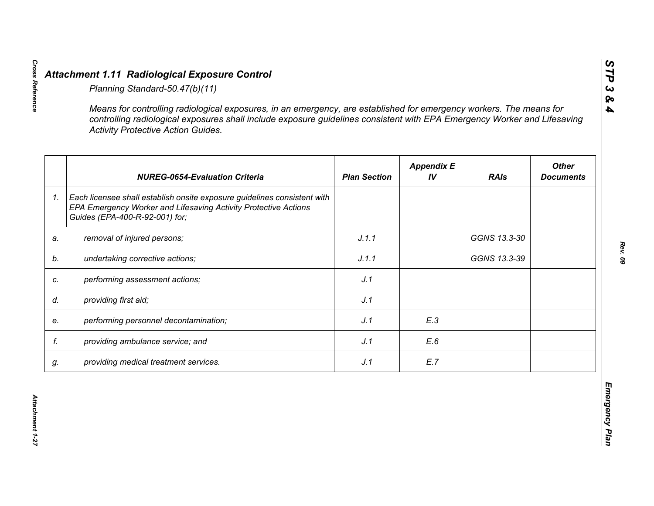|    | <b>Activity Protective Action Guides.</b>                                                                                                                                     |                     |                         |              |                                  |
|----|-------------------------------------------------------------------------------------------------------------------------------------------------------------------------------|---------------------|-------------------------|--------------|----------------------------------|
|    | <b>NUREG-0654-Evaluation Criteria</b>                                                                                                                                         | <b>Plan Section</b> | <b>Appendix E</b><br>IV | <b>RAIs</b>  | <b>Other</b><br><b>Documents</b> |
| 1. | Each licensee shall establish onsite exposure guidelines consistent with<br>EPA Emergency Worker and Lifesaving Activity Protective Actions<br>Guides (EPA-400-R-92-001) for; |                     |                         |              |                                  |
| a. | removal of injured persons;                                                                                                                                                   | J.1.1               |                         | GGNS 13.3-30 |                                  |
|    | undertaking corrective actions;                                                                                                                                               | J.1.1               |                         | GGNS 13.3-39 |                                  |
|    | performing assessment actions;                                                                                                                                                | J.1                 |                         |              |                                  |
| d. | providing first aid;                                                                                                                                                          | J.1                 |                         |              |                                  |
|    | performing personnel decontamination;                                                                                                                                         | J.1                 | E.3                     |              |                                  |
| f. | providing ambulance service; and                                                                                                                                              | J.1                 | E.6                     |              |                                  |
| g. | providing medical treatment services.                                                                                                                                         | J.1                 | E.7                     |              |                                  |

*STP 3 & 4*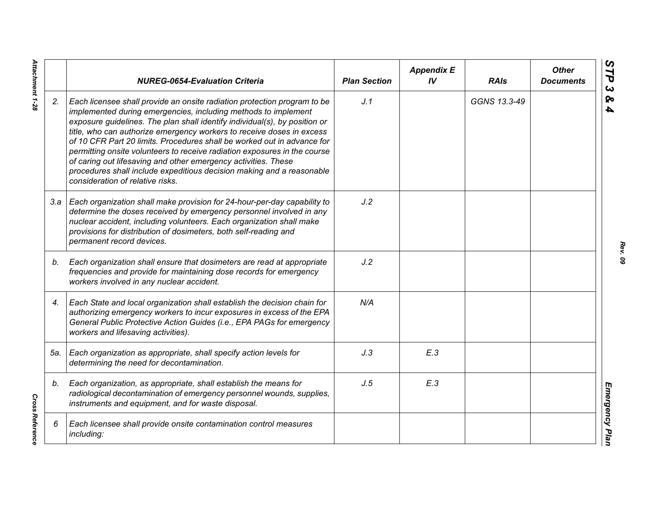|     | <b>NUREG-0654-Evaluation Criteria</b>                                                                                                                                                                                                                                                                                                                                                                                                                                                                                                                                                                                                    | <b>Plan Section</b> | <b>Appendix E</b><br>IV | <b>RAIs</b>  | <b>Other</b><br><b>Documents</b> |
|-----|------------------------------------------------------------------------------------------------------------------------------------------------------------------------------------------------------------------------------------------------------------------------------------------------------------------------------------------------------------------------------------------------------------------------------------------------------------------------------------------------------------------------------------------------------------------------------------------------------------------------------------------|---------------------|-------------------------|--------------|----------------------------------|
| 2.  | Each licensee shall provide an onsite radiation protection program to be<br>implemented during emergencies, including methods to implement<br>exposure guidelines. The plan shall identify individual(s), by position or<br>title, who can authorize emergency workers to receive doses in excess<br>of 10 CFR Part 20 limits. Procedures shall be worked out in advance for<br>permitting onsite volunteers to receive radiation exposures in the course<br>of caring out lifesaving and other emergency activities. These<br>procedures shall include expeditious decision making and a reasonable<br>consideration of relative risks. | J.1                 |                         | GGNS 13.3-49 |                                  |
|     | 3.a   Each organization shall make provision for 24-hour-per-day capability to<br>determine the doses received by emergency personnel involved in any<br>nuclear accident, including volunteers. Each organization shall make<br>provisions for distribution of dosimeters, both self-reading and<br>permanent record devices.                                                                                                                                                                                                                                                                                                           | J.2                 |                         |              |                                  |
| b.  | Each organization shall ensure that dosimeters are read at appropriate<br>frequencies and provide for maintaining dose records for emergency<br>workers involved in any nuclear accident.                                                                                                                                                                                                                                                                                                                                                                                                                                                | J.2                 |                         |              |                                  |
| 4.  | Each State and local organization shall establish the decision chain for<br>authorizing emergency workers to incur exposures in excess of the EPA<br>General Public Protective Action Guides (i.e., EPA PAGs for emergency<br>workers and lifesaving activities).                                                                                                                                                                                                                                                                                                                                                                        | N/A                 |                         |              |                                  |
| 5а. | Each organization as appropriate, shall specify action levels for<br>determining the need for decontamination.                                                                                                                                                                                                                                                                                                                                                                                                                                                                                                                           | J.3                 | E.3                     |              |                                  |
| b.  | Each organization, as appropriate, shall establish the means for<br>radiological decontamination of emergency personnel wounds, supplies,<br>instruments and equipment, and for waste disposal.                                                                                                                                                                                                                                                                                                                                                                                                                                          | J.5                 | E.3                     |              |                                  |
| 6   | Each licensee shall provide onsite contamination control measures<br>including:                                                                                                                                                                                                                                                                                                                                                                                                                                                                                                                                                          |                     |                         |              |                                  |

*Rev. 09*

Attachment 1-28 *Attachment 1-28*

**Cross Reference** *Cross Reference*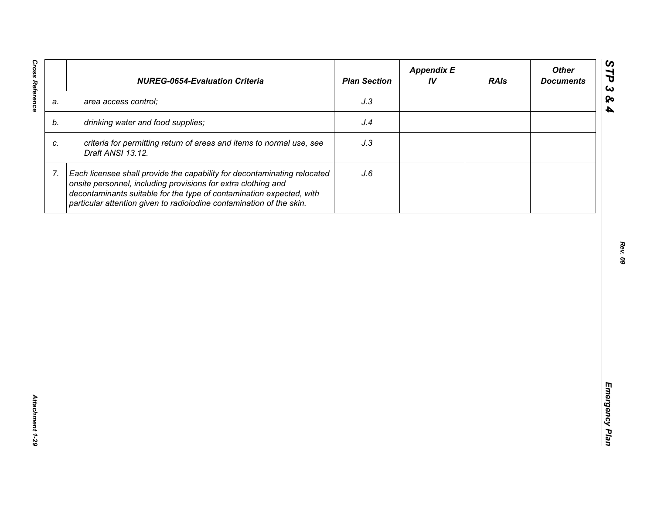| J.3<br>area access control;<br>a.<br>drinking water and food supplies;<br>J.4<br>b.<br>criteria for permitting return of areas and items to normal use, see<br>J.3<br>C.<br>Draft ANSI 13.12.<br>7.<br>Each licensee shall provide the capability for decontaminating relocated<br>J.6<br>onsite personnel, including provisions for extra clothing and |  | <b>NUREG-0654-Evaluation Criteria</b>                                | <b>Plan Section</b> | <b>Appendix E</b><br>IV | <b>RAIs</b> | <b>Other</b><br><b>Documents</b> |
|---------------------------------------------------------------------------------------------------------------------------------------------------------------------------------------------------------------------------------------------------------------------------------------------------------------------------------------------------------|--|----------------------------------------------------------------------|---------------------|-------------------------|-------------|----------------------------------|
|                                                                                                                                                                                                                                                                                                                                                         |  |                                                                      |                     |                         |             |                                  |
|                                                                                                                                                                                                                                                                                                                                                         |  |                                                                      |                     |                         |             |                                  |
|                                                                                                                                                                                                                                                                                                                                                         |  |                                                                      |                     |                         |             |                                  |
| particular attention given to radioiodine contamination of the skin.                                                                                                                                                                                                                                                                                    |  | decontaminants suitable for the type of contamination expected, with |                     |                         |             |                                  |
|                                                                                                                                                                                                                                                                                                                                                         |  |                                                                      |                     |                         |             |                                  |
|                                                                                                                                                                                                                                                                                                                                                         |  |                                                                      |                     |                         |             |                                  |
|                                                                                                                                                                                                                                                                                                                                                         |  |                                                                      |                     |                         |             |                                  |
|                                                                                                                                                                                                                                                                                                                                                         |  |                                                                      |                     |                         |             |                                  |
|                                                                                                                                                                                                                                                                                                                                                         |  |                                                                      |                     |                         |             |                                  |
|                                                                                                                                                                                                                                                                                                                                                         |  |                                                                      |                     |                         |             |                                  |
|                                                                                                                                                                                                                                                                                                                                                         |  |                                                                      |                     |                         |             |                                  |
|                                                                                                                                                                                                                                                                                                                                                         |  |                                                                      |                     |                         |             |                                  |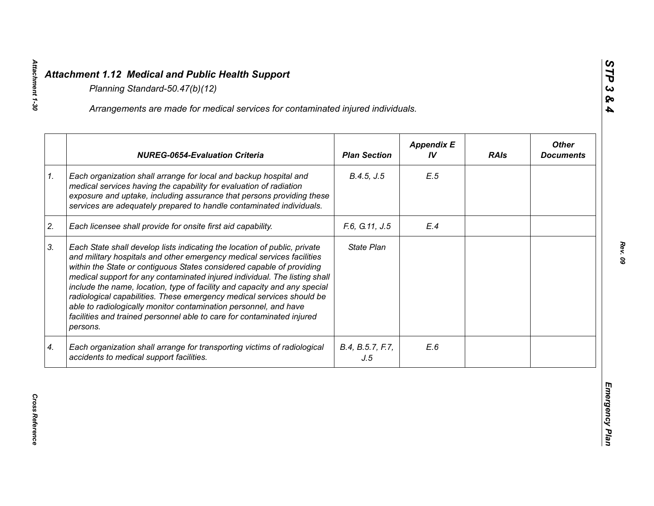|    | Arrangements are made for medical services for contaminated injured individuals.                                                                                                                                                                                                                                                                                                                                                                                                                                                                                                                                           |                         |                         |             |                                  |
|----|----------------------------------------------------------------------------------------------------------------------------------------------------------------------------------------------------------------------------------------------------------------------------------------------------------------------------------------------------------------------------------------------------------------------------------------------------------------------------------------------------------------------------------------------------------------------------------------------------------------------------|-------------------------|-------------------------|-------------|----------------------------------|
|    | <b>NUREG-0654-Evaluation Criteria</b>                                                                                                                                                                                                                                                                                                                                                                                                                                                                                                                                                                                      | <b>Plan Section</b>     | <b>Appendix E</b><br>IV | <b>RAIs</b> | <b>Other</b><br><b>Documents</b> |
| 1. | Each organization shall arrange for local and backup hospital and<br>medical services having the capability for evaluation of radiation<br>exposure and uptake, including assurance that persons providing these<br>services are adequately prepared to handle contaminated individuals.                                                                                                                                                                                                                                                                                                                                   | B.4.5, J.5              | E.5                     |             |                                  |
| 2. | Each licensee shall provide for onsite first aid capability.                                                                                                                                                                                                                                                                                                                                                                                                                                                                                                                                                               | F.6, G.11, J.5          | E.4                     |             |                                  |
| 3. | Each State shall develop lists indicating the location of public, private<br>and military hospitals and other emergency medical services facilities<br>within the State or contiguous States considered capable of providing<br>medical support for any contaminated injured individual. The listing shall<br>include the name, location, type of facility and capacity and any special<br>radiological capabilities. These emergency medical services should be<br>able to radiologically monitor contamination personnel, and have<br>facilities and trained personnel able to care for contaminated injured<br>persons. | State Plan              |                         |             |                                  |
| 4. | Each organization shall arrange for transporting victims of radiological<br>accidents to medical support facilities.                                                                                                                                                                                                                                                                                                                                                                                                                                                                                                       | B.4, B.5.7, F.7,<br>J.5 | E.6                     |             |                                  |

*STP 3 & 4*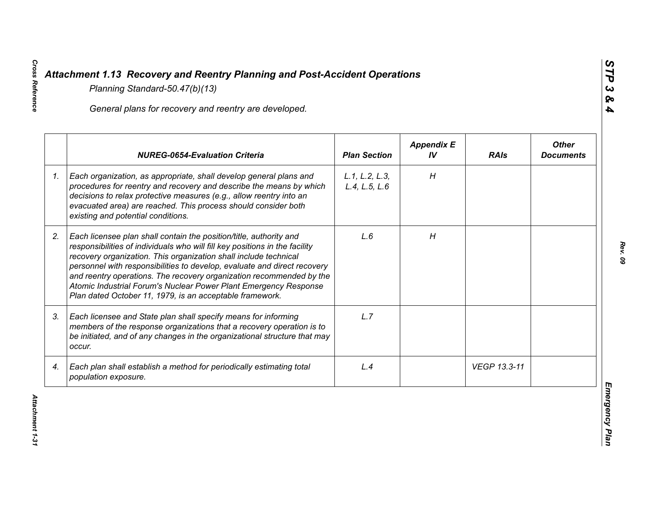|    | General plans for recovery and reentry are developed.                                                                                                                                                                                                                                                                                                                                                                                                                                                     |                                 |                         |              |                                  |
|----|-----------------------------------------------------------------------------------------------------------------------------------------------------------------------------------------------------------------------------------------------------------------------------------------------------------------------------------------------------------------------------------------------------------------------------------------------------------------------------------------------------------|---------------------------------|-------------------------|--------------|----------------------------------|
|    | <b>NUREG-0654-Evaluation Criteria</b>                                                                                                                                                                                                                                                                                                                                                                                                                                                                     | <b>Plan Section</b>             | <b>Appendix E</b><br>IV | <b>RAIs</b>  | <b>Other</b><br><b>Documents</b> |
| 1. | Each organization, as appropriate, shall develop general plans and<br>procedures for reentry and recovery and describe the means by which<br>decisions to relax protective measures (e.g., allow reentry into an<br>evacuated area) are reached. This process should consider both<br>existing and potential conditions.                                                                                                                                                                                  | L.1, L.2, L.3,<br>L.4, L.5, L.6 | H                       |              |                                  |
| 2. | Each licensee plan shall contain the position/title, authority and<br>responsibilities of individuals who will fill key positions in the facility<br>recovery organization. This organization shall include technical<br>personnel with responsibilities to develop, evaluate and direct recovery<br>and reentry operations. The recovery organization recommended by the<br>Atomic Industrial Forum's Nuclear Power Plant Emergency Response<br>Plan dated October 11, 1979, is an acceptable framework. | L.6                             | H                       |              |                                  |
| 3. | Each licensee and State plan shall specify means for informing<br>members of the response organizations that a recovery operation is to<br>be initiated, and of any changes in the organizational structure that may<br>occur.                                                                                                                                                                                                                                                                            | L.7                             |                         |              |                                  |
| 4. | Each plan shall establish a method for periodically estimating total<br>population exposure.                                                                                                                                                                                                                                                                                                                                                                                                              | L.4                             |                         | VEGP 13.3-11 |                                  |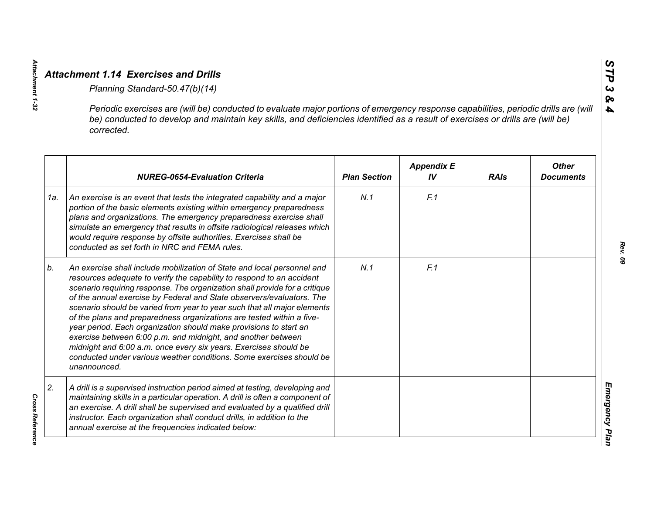|     | Periodic exercises are (will be) conducted to evaluate major portions of emergency response capabilities, periodic drills are (will<br>be) conducted to develop and maintain key skills, and deficiencies identified as a result of exercises or drills are (will be)<br>corrected.                                                                                                                                                                                                                                                                                                                                                                                                                                                                           |                     |                         |             |                                  |
|-----|---------------------------------------------------------------------------------------------------------------------------------------------------------------------------------------------------------------------------------------------------------------------------------------------------------------------------------------------------------------------------------------------------------------------------------------------------------------------------------------------------------------------------------------------------------------------------------------------------------------------------------------------------------------------------------------------------------------------------------------------------------------|---------------------|-------------------------|-------------|----------------------------------|
|     | <b>NUREG-0654-Evaluation Criteria</b>                                                                                                                                                                                                                                                                                                                                                                                                                                                                                                                                                                                                                                                                                                                         | <b>Plan Section</b> | <b>Appendix E</b><br>IV | <b>RAIs</b> | <b>Other</b><br><b>Documents</b> |
| 1a. | An exercise is an event that tests the integrated capability and a major<br>portion of the basic elements existing within emergency preparedness<br>plans and organizations. The emergency preparedness exercise shall<br>simulate an emergency that results in offsite radiological releases which<br>would require response by offsite authorities. Exercises shall be<br>conducted as set forth in NRC and FEMA rules.                                                                                                                                                                                                                                                                                                                                     | N.1                 | F.1                     |             |                                  |
| b.  | An exercise shall include mobilization of State and local personnel and<br>resources adequate to verify the capability to respond to an accident<br>scenario requiring response. The organization shall provide for a critique<br>of the annual exercise by Federal and State observers/evaluators. The<br>scenario should be varied from year to year such that all major elements<br>of the plans and preparedness organizations are tested within a five-<br>year period. Each organization should make provisions to start an<br>exercise between 6:00 p.m. and midnight, and another between<br>midnight and 6:00 a.m. once every six years. Exercises should be<br>conducted under various weather conditions. Some exercises should be<br>unannounced. | N.1                 | F.1                     |             |                                  |
| 2.  | A drill is a supervised instruction period aimed at testing, developing and<br>maintaining skills in a particular operation. A drill is often a component of<br>an exercise. A drill shall be supervised and evaluated by a qualified drill<br>instructor. Each organization shall conduct drills, in addition to the<br>annual exercise at the frequencies indicated below:                                                                                                                                                                                                                                                                                                                                                                                  |                     |                         |             |                                  |

**Cross Reference** 

*Attachment 1-32*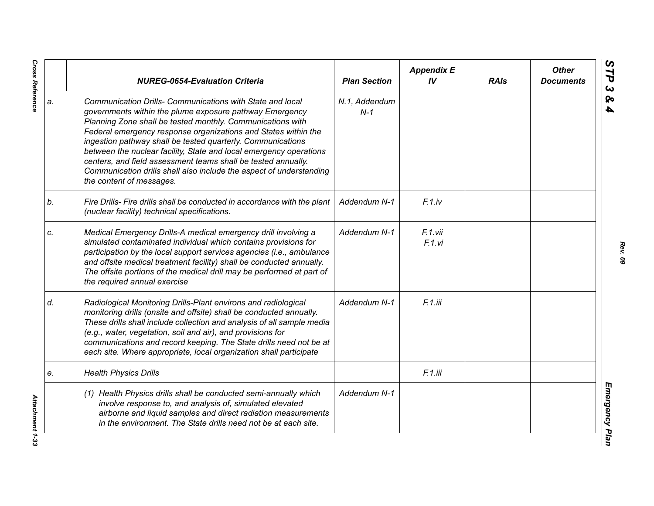|    | <b>NUREG-0654-Evaluation Criteria</b>                                                                                                                                                                                                                                                                                                                                                                                                                                                                                                                         | <b>Plan Section</b>    | <b>Appendix E</b><br>IV | <b>RAIs</b> | <b>Other</b><br><b>Documents</b> |
|----|---------------------------------------------------------------------------------------------------------------------------------------------------------------------------------------------------------------------------------------------------------------------------------------------------------------------------------------------------------------------------------------------------------------------------------------------------------------------------------------------------------------------------------------------------------------|------------------------|-------------------------|-------------|----------------------------------|
| a. | Communication Drills- Communications with State and local<br>governments within the plume exposure pathway Emergency<br>Planning Zone shall be tested monthly. Communications with<br>Federal emergency response organizations and States within the<br>ingestion pathway shall be tested quarterly. Communications<br>between the nuclear facility, State and local emergency operations<br>centers, and field assessment teams shall be tested annually.<br>Communication drills shall also include the aspect of understanding<br>the content of messages. | N.1, Addendum<br>$N-1$ |                         |             |                                  |
| b. | Fire Drills- Fire drills shall be conducted in accordance with the plant<br>(nuclear facility) technical specifications.                                                                                                                                                                                                                                                                                                                                                                                                                                      | Addendum N-1           | F.1iv                   |             |                                  |
| c. | Medical Emergency Drills-A medical emergency drill involving a<br>simulated contaminated individual which contains provisions for<br>participation by the local support services agencies (i.e., ambulance<br>and offsite medical treatment facility) shall be conducted annually.<br>The offsite portions of the medical drill may be performed at part of<br>the required annual exercise                                                                                                                                                                   | Addendum N-1           | F.1.vii<br>F.1.vi       |             |                                  |
| d. | Radiological Monitoring Drills-Plant environs and radiological<br>monitoring drills (onsite and offsite) shall be conducted annually.<br>These drills shall include collection and analysis of all sample media<br>(e.g., water, vegetation, soil and air), and provisions for<br>communications and record keeping. The State drills need not be at<br>each site. Where appropriate, local organization shall participate                                                                                                                                    | Addendum N-1           | F.1.iii                 |             |                                  |
| e. | <b>Health Physics Drills</b>                                                                                                                                                                                                                                                                                                                                                                                                                                                                                                                                  |                        | F.1.iii                 |             |                                  |
|    | (1) Health Physics drills shall be conducted semi-annually which<br>involve response to, and analysis of, simulated elevated<br>airborne and liquid samples and direct radiation measurements<br>in the environment. The State drills need not be at each site.                                                                                                                                                                                                                                                                                               | Addendum N-1           |                         |             |                                  |

*Cross Reference Attachment 1-33* Attachment 1-33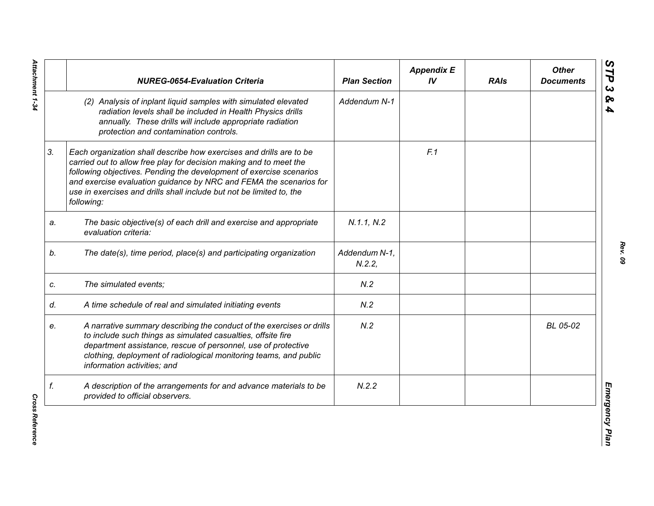|    | <b>NUREG-0654-Evaluation Criteria</b>                                                                                                                                                                                                                                                                                                                                        | <b>Plan Section</b>    | <b>Appendix E</b><br>IV | <b>RAIs</b> | <b>Other</b><br><b>Documents</b> |
|----|------------------------------------------------------------------------------------------------------------------------------------------------------------------------------------------------------------------------------------------------------------------------------------------------------------------------------------------------------------------------------|------------------------|-------------------------|-------------|----------------------------------|
|    | (2) Analysis of inplant liquid samples with simulated elevated<br>radiation levels shall be included in Health Physics drills<br>annually. These drills will include appropriate radiation<br>protection and contamination controls.                                                                                                                                         | Addendum N-1           |                         |             |                                  |
| 3. | Each organization shall describe how exercises and drills are to be<br>carried out to allow free play for decision making and to meet the<br>following objectives. Pending the development of exercise scenarios<br>and exercise evaluation guidance by NRC and FEMA the scenarios for<br>use in exercises and drills shall include but not be limited to, the<br>following: |                        | F.1                     |             |                                  |
| a. | The basic objective(s) of each drill and exercise and appropriate<br>evaluation criteria:                                                                                                                                                                                                                                                                                    | N.1.1, N.2             |                         |             |                                  |
| b. | The date(s), time period, place(s) and participating organization                                                                                                                                                                                                                                                                                                            | Addendum N-1,<br>N.2.2 |                         |             |                                  |
| C. | The simulated events;                                                                                                                                                                                                                                                                                                                                                        | N.2                    |                         |             |                                  |
| d. | A time schedule of real and simulated initiating events                                                                                                                                                                                                                                                                                                                      | N.2                    |                         |             |                                  |
| e. | A narrative summary describing the conduct of the exercises or drills<br>to include such things as simulated casualties, offsite fire<br>department assistance, rescue of personnel, use of protective<br>clothing, deployment of radiological monitoring teams, and public<br>information activities; and                                                                   | N.2                    |                         |             | BL 05-02                         |
| f. | A description of the arrangements for and advance materials to be<br>provided to official observers.                                                                                                                                                                                                                                                                         | N.2.2                  |                         |             |                                  |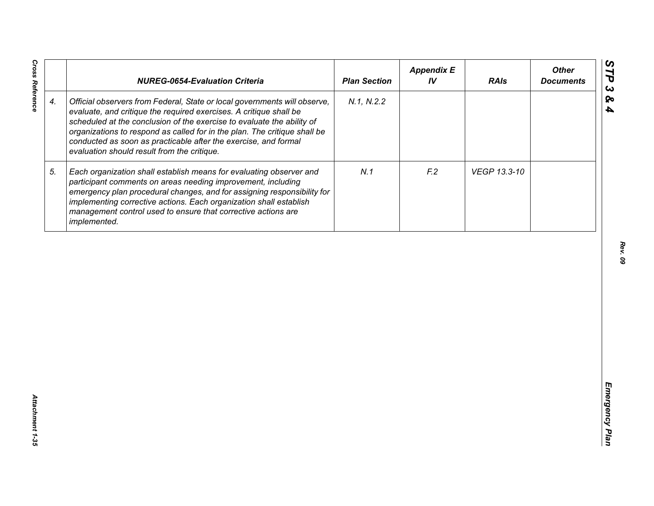|                    | <b>NUREG-0654-Evaluation Criteria</b>                                                                                                                                                                                                                                                                                                                                                                                    | <b>Plan Section</b> | <b>Appendix E</b><br>IV | <b>RAIs</b>  | <b>Other</b><br><b>Documents</b> |
|--------------------|--------------------------------------------------------------------------------------------------------------------------------------------------------------------------------------------------------------------------------------------------------------------------------------------------------------------------------------------------------------------------------------------------------------------------|---------------------|-------------------------|--------------|----------------------------------|
| $\boldsymbol{4}$ . | Official observers from Federal, State or local governments will observe,<br>evaluate, and critique the required exercises. A critique shall be<br>scheduled at the conclusion of the exercise to evaluate the ability of<br>organizations to respond as called for in the plan. The critique shall be<br>conducted as soon as practicable after the exercise, and formal<br>evaluation should result from the critique. | N.1, N.2.2          |                         |              |                                  |
| 5.                 | Each organization shall establish means for evaluating observer and<br>participant comments on areas needing improvement, including<br>emergency plan procedural changes, and for assigning responsibility for<br>implementing corrective actions. Each organization shall establish<br>management control used to ensure that corrective actions are<br>implemented.                                                    | N.1                 | F <sub>12</sub>         | VEGP 13.3-10 |                                  |
|                    |                                                                                                                                                                                                                                                                                                                                                                                                                          |                     |                         |              |                                  |
|                    |                                                                                                                                                                                                                                                                                                                                                                                                                          |                     |                         |              |                                  |
|                    |                                                                                                                                                                                                                                                                                                                                                                                                                          |                     |                         |              |                                  |
|                    |                                                                                                                                                                                                                                                                                                                                                                                                                          |                     |                         |              |                                  |
|                    |                                                                                                                                                                                                                                                                                                                                                                                                                          |                     |                         |              |                                  |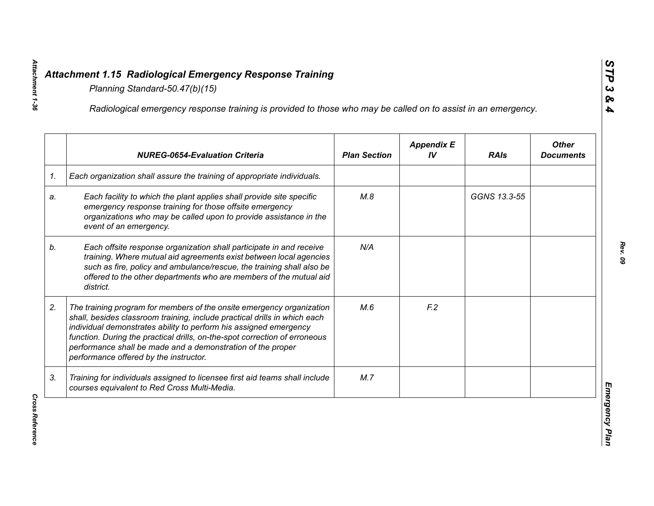|    | Radiological emergency response training is provided to those who may be called on to assist in an emergency.                                                                                                                                                                                                                                                                                                  |                     |                         |              |                                  |
|----|----------------------------------------------------------------------------------------------------------------------------------------------------------------------------------------------------------------------------------------------------------------------------------------------------------------------------------------------------------------------------------------------------------------|---------------------|-------------------------|--------------|----------------------------------|
|    | <b>NUREG-0654-Evaluation Criteria</b>                                                                                                                                                                                                                                                                                                                                                                          | <b>Plan Section</b> | <b>Appendix E</b><br>IV | <b>RAIs</b>  | <b>Other</b><br><b>Documents</b> |
| 1. | Each organization shall assure the training of appropriate individuals.                                                                                                                                                                                                                                                                                                                                        |                     |                         |              |                                  |
| a. | Each facility to which the plant applies shall provide site specific<br>emergency response training for those offsite emergency<br>organizations who may be called upon to provide assistance in the<br>event of an emergency.                                                                                                                                                                                 | M.8                 |                         | GGNS 13.3-55 |                                  |
| b. | Each offsite response organization shall participate in and receive<br>training. Where mutual aid agreements exist between local agencies<br>such as fire, policy and ambulance/rescue, the training shall also be<br>offered to the other departments who are members of the mutual aid<br>district.                                                                                                          | N/A                 |                         |              |                                  |
| 2. | The training program for members of the onsite emergency organization<br>shall, besides classroom training, include practical drills in which each<br>individual demonstrates ability to perform his assigned emergency<br>function. During the practical drills, on-the-spot correction of erroneous<br>performance shall be made and a demonstration of the proper<br>performance offered by the instructor. | M.6                 | F <sub>12</sub>         |              |                                  |
| 3. | Training for individuals assigned to licensee first aid teams shall include<br>courses equivalent to Red Cross Multi-Media.                                                                                                                                                                                                                                                                                    | M.7                 |                         |              |                                  |

**Cross Reference**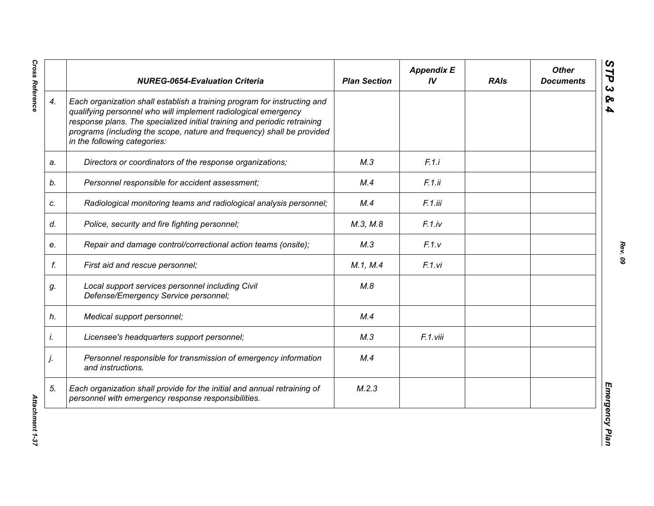|    | <b>NUREG-0654-Evaluation Criteria</b>                                                                                                                                                                                                                                                                                            | <b>Plan Section</b> | <b>Appendix E</b><br>IV | <b>RAIs</b> | <b>Other</b><br><b>Documents</b> |
|----|----------------------------------------------------------------------------------------------------------------------------------------------------------------------------------------------------------------------------------------------------------------------------------------------------------------------------------|---------------------|-------------------------|-------------|----------------------------------|
| 4. | Each organization shall establish a training program for instructing and<br>qualifying personnel who will implement radiological emergency<br>response plans. The specialized initial training and periodic retraining<br>programs (including the scope, nature and frequency) shall be provided<br>in the following categories: |                     |                         |             |                                  |
| a. | Directors or coordinators of the response organizations;                                                                                                                                                                                                                                                                         | M.3                 | F.1.i                   |             |                                  |
| b. | Personnel responsible for accident assessment;                                                                                                                                                                                                                                                                                   | M.4                 | F.1.ii                  |             |                                  |
| c. | Radiological monitoring teams and radiological analysis personnel;                                                                                                                                                                                                                                                               | M.4                 | F.1.iii                 |             |                                  |
| d. | Police, security and fire fighting personnel;                                                                                                                                                                                                                                                                                    | M.3, M.8            | $F.1$ .iv               |             |                                  |
| е. | Repair and damage control/correctional action teams (onsite);                                                                                                                                                                                                                                                                    | M.3                 | F.1.v                   |             |                                  |
| f. | First aid and rescue personnel;                                                                                                                                                                                                                                                                                                  | M.1, M.4            | F.1.vi                  |             |                                  |
| g. | Local support services personnel including Civil<br>Defense/Emergency Service personnel;                                                                                                                                                                                                                                         | M.8                 |                         |             |                                  |
| h. | Medical support personnel;                                                                                                                                                                                                                                                                                                       | M.4                 |                         |             |                                  |
| İ. | Licensee's headquarters support personnel;                                                                                                                                                                                                                                                                                       | M.3                 | F.1.viii                |             |                                  |
| j. | Personnel responsible for transmission of emergency information<br>and instructions.                                                                                                                                                                                                                                             | M.4                 |                         |             |                                  |
| 5. | Each organization shall provide for the initial and annual retraining of<br>personnel with emergency response responsibilities.                                                                                                                                                                                                  | M.2.3               |                         |             |                                  |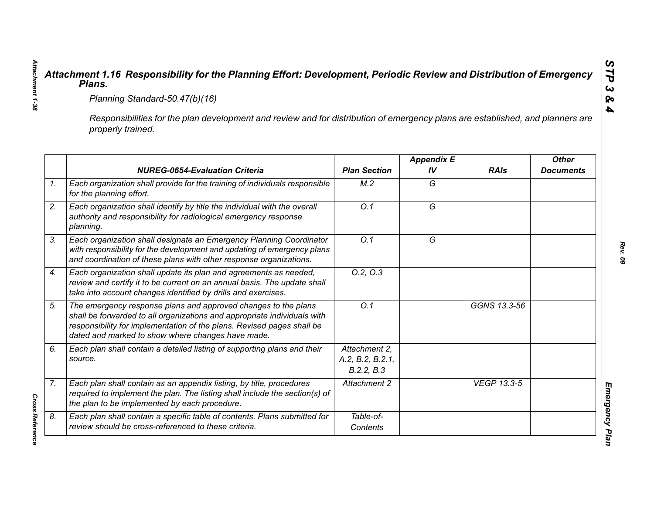| Planning Standard-50.47(b)(16)                                                                                                                                                                                                                                            |  |                                                 |                         |                    |                                  |  |  |
|---------------------------------------------------------------------------------------------------------------------------------------------------------------------------------------------------------------------------------------------------------------------------|--|-------------------------------------------------|-------------------------|--------------------|----------------------------------|--|--|
| Responsibilities for the plan development and review and for distribution of emergency plans are established, and planners are<br>properly trained.                                                                                                                       |  |                                                 |                         |                    |                                  |  |  |
| <b>NUREG-0654-Evaluation Criteria</b>                                                                                                                                                                                                                                     |  | <b>Plan Section</b>                             | <b>Appendix E</b><br>IV | <b>RAIs</b>        | <b>Other</b><br><b>Documents</b> |  |  |
| Each organization shall provide for the training of individuals responsible<br>for the planning effort.                                                                                                                                                                   |  | M.2                                             | G                       |                    |                                  |  |  |
| Each organization shall identify by title the individual with the overall<br>authority and responsibility for radiological emergency response<br>planning.                                                                                                                |  | $\overline{O.1}$                                | $\overline{G}$          |                    |                                  |  |  |
| Each organization shall designate an Emergency Planning Coordinator<br>with responsibility for the development and updating of emergency plans<br>and coordination of these plans with other response organizations.                                                      |  | O.1                                             | G                       |                    |                                  |  |  |
| Each organization shall update its plan and agreements as needed,<br>review and certify it to be current on an annual basis. The update shall<br>take into account changes identified by drills and exercises.                                                            |  | 0.2, 0.3                                        |                         |                    |                                  |  |  |
| The emergency response plans and approved changes to the plans<br>shall be forwarded to all organizations and appropriate individuals with<br>responsibility for implementation of the plans. Revised pages shall be<br>dated and marked to show where changes have made. |  | Q.1                                             |                         | GGNS 13.3-56       |                                  |  |  |
| Each plan shall contain a detailed listing of supporting plans and their<br>source.                                                                                                                                                                                       |  | Attachment 2.<br>A.2, B.2, B.2.1,<br>B.2.2, B.3 |                         |                    |                                  |  |  |
| Each plan shall contain as an appendix listing, by title, procedures<br>required to implement the plan. The listing shall include the section(s) of<br>the plan to be implemented by each procedure.                                                                      |  | Attachment 2                                    |                         | <b>VEGP 13.3-5</b> |                                  |  |  |
| Each plan shall contain a specific table of contents. Plans submitted for<br>review should be cross-referenced to these criteria.                                                                                                                                         |  | Table-of-<br>Contents                           |                         |                    |                                  |  |  |

*Attachment 1-38*